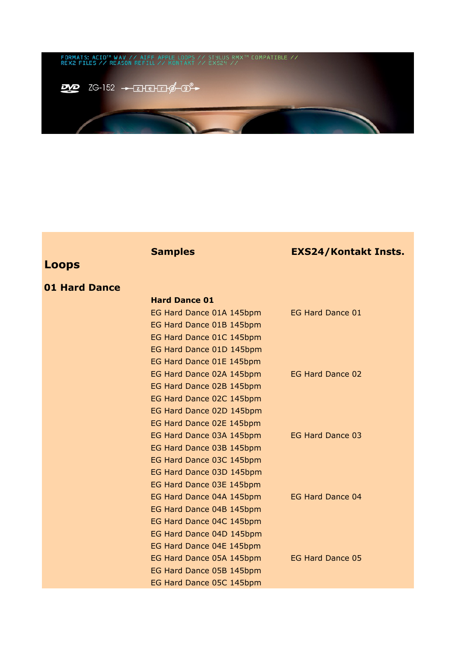#### **Loops**

#### **01 Hard Dance**

#### **Hard Dance 01**

EG Hard Dance 01A 145b EG Hard Dance 01B 145b EG Hard Dance 01C 145b EG Hard Dance 01D 145b EG Hard Dance 01E 145b EG Hard Dance 02A 145b EG Hard Dance 02B 145b EG Hard Dance 02C 145b EG Hard Dance 02D 145b EG Hard Dance 02E 145b EG Hard Dance 03A 145b EG Hard Dance 03B 145b EG Hard Dance 03C 145b EG Hard Dance 03D 145b EG Hard Dance 03E 145b EG Hard Dance 04A 145b EG Hard Dance 04B 145b EG Hard Dance 04C 145b EG Hard Dance 04D 145b EG Hard Dance 04E 145b EG Hard Dance 05A 145b EG Hard Dance 05B 145bp EG Hard Dance 05C 145bpm

#### **Samples EXS24/Kontakt Insts.**

| pm |  | EG Hard Dance 01        |  |
|----|--|-------------------------|--|
| pm |  |                         |  |
| pm |  |                         |  |
| pm |  |                         |  |
| pm |  |                         |  |
| pm |  | EG Hard Dance 02        |  |
| pm |  |                         |  |
| pm |  |                         |  |
| pm |  |                         |  |
| pm |  |                         |  |
| pm |  | EG Hard Dance 03        |  |
| pm |  |                         |  |
| pm |  |                         |  |
| pm |  |                         |  |
| pm |  |                         |  |
| pm |  | EG Hard Dance 04        |  |
| pm |  |                         |  |
| pm |  |                         |  |
| pm |  |                         |  |
| pm |  |                         |  |
| pm |  | <b>EG Hard Dance 05</b> |  |
| рm |  |                         |  |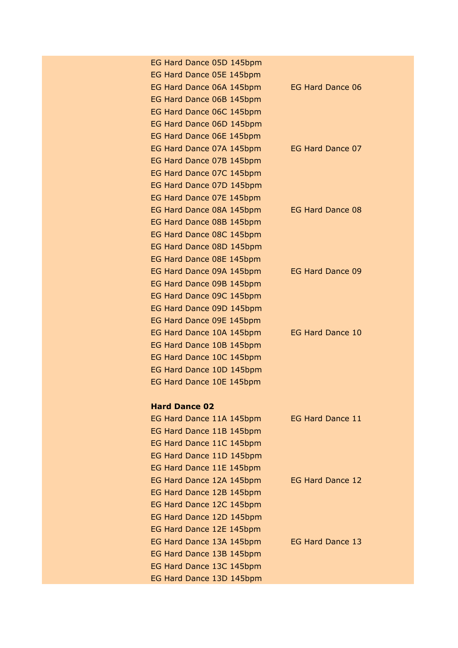| EG Hard Dance 05D 145bpm |                         |
|--------------------------|-------------------------|
| EG Hard Dance 05E 145bpm |                         |
| EG Hard Dance 06A 145bpm | EG Hard Dance 06        |
| EG Hard Dance 06B 145bpm |                         |
| EG Hard Dance 06C 145bpm |                         |
| EG Hard Dance 06D 145bpm |                         |
| EG Hard Dance 06E 145bpm |                         |
| EG Hard Dance 07A 145bpm | EG Hard Dance 07        |
| EG Hard Dance 07B 145bpm |                         |
| EG Hard Dance 07C 145bpm |                         |
| EG Hard Dance 07D 145bpm |                         |
| EG Hard Dance 07E 145bpm |                         |
| EG Hard Dance 08A 145bpm | EG Hard Dance 08        |
| EG Hard Dance 08B 145bpm |                         |
| EG Hard Dance 08C 145bpm |                         |
| EG Hard Dance 08D 145bpm |                         |
| EG Hard Dance 08E 145bpm |                         |
| EG Hard Dance 09A 145bpm | EG Hard Dance 09        |
| EG Hard Dance 09B 145bpm |                         |
| EG Hard Dance 09C 145bpm |                         |
| EG Hard Dance 09D 145bpm |                         |
| EG Hard Dance 09E 145bpm |                         |
| EG Hard Dance 10A 145bpm | EG Hard Dance 10        |
| EG Hard Dance 10B 145bpm |                         |
| EG Hard Dance 10C 145bpm |                         |
| EG Hard Dance 10D 145bpm |                         |
| EG Hard Dance 10E 145bpm |                         |
|                          |                         |
| <b>Hard Dance 02</b>     |                         |
| EG Hard Dance 11A 145bpm | EG Hard Dance 11        |
| EG Hard Dance 11B 145bpm |                         |
| EG Hard Dance 11C 145bpm |                         |
| EG Hard Dance 11D 145bpm |                         |
| EG Hard Dance 11E 145bpm |                         |
| EG Hard Dance 12A 145bpm | <b>EG Hard Dance 12</b> |
| EG Hard Dance 12B 145bpm |                         |
| EG Hard Dance 12C 145bpm |                         |
| EG Hard Dance 12D 145bpm |                         |
| EG Hard Dance 12E 145bpm |                         |
| EG Hard Dance 13A 145bpm | EG Hard Dance 13        |
| EG Hard Dance 13B 145bpm |                         |
| EG Hard Dance 13C 145bpm |                         |
| EG Hard Dance 13D 145bpm |                         |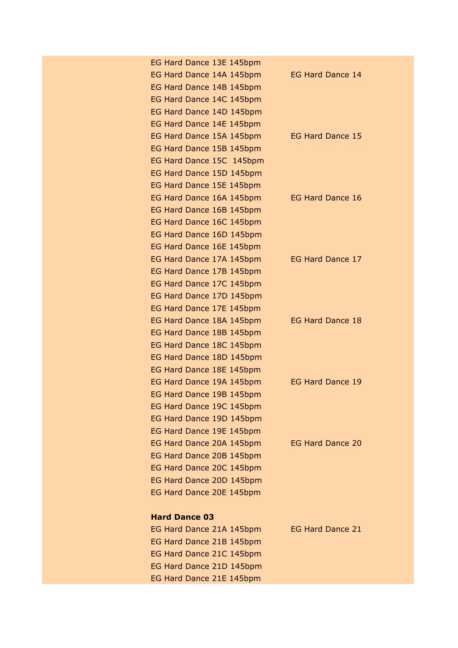| EG Hard Dance 13E 145bpm |                         |
|--------------------------|-------------------------|
| EG Hard Dance 14A 145bpm | <b>EG Hard Dance 14</b> |
| EG Hard Dance 14B 145bpm |                         |
| EG Hard Dance 14C 145bpm |                         |
| EG Hard Dance 14D 145bpm |                         |
| EG Hard Dance 14E 145bpm |                         |
| EG Hard Dance 15A 145bpm | <b>EG Hard Dance 15</b> |
| EG Hard Dance 15B 145bpm |                         |
| EG Hard Dance 15C 145bpm |                         |
| EG Hard Dance 15D 145bpm |                         |
| EG Hard Dance 15E 145bpm |                         |
| EG Hard Dance 16A 145bpm | EG Hard Dance 16        |
| EG Hard Dance 16B 145bpm |                         |
| EG Hard Dance 16C 145bpm |                         |
| EG Hard Dance 16D 145bpm |                         |
| EG Hard Dance 16E 145bpm |                         |
| EG Hard Dance 17A 145bpm | EG Hard Dance 17        |
| EG Hard Dance 17B 145bpm |                         |
| EG Hard Dance 17C 145bpm |                         |
| EG Hard Dance 17D 145bpm |                         |
| EG Hard Dance 17E 145bpm |                         |
| EG Hard Dance 18A 145bpm | <b>EG Hard Dance 18</b> |
| EG Hard Dance 18B 145bpm |                         |
| EG Hard Dance 18C 145bpm |                         |
| EG Hard Dance 18D 145bpm |                         |
| EG Hard Dance 18E 145bpm |                         |
| EG Hard Dance 19A 145bpm | <b>EG Hard Dance 19</b> |
| EG Hard Dance 19B 145bpm |                         |
| EG Hard Dance 19C 145bpm |                         |
| EG Hard Dance 19D 145bpm |                         |
| EG Hard Dance 19E 145bpm |                         |
| EG Hard Dance 20A 145bpm | EG Hard Dance 20        |
| EG Hard Dance 20B 145bpm |                         |
| EG Hard Dance 20C 145bpm |                         |
| EG Hard Dance 20D 145bpm |                         |
| EG Hard Dance 20E 145bpm |                         |
| <b>Hard Dance 03</b>     |                         |
| EG Hard Dance 21A 145bpm | <b>EG Hard Dance 21</b> |
| EG Hard Dance 21B 145bpm |                         |
| EG Hard Dance 21C 145bpm |                         |
| EG Hard Dance 21D 145bpm |                         |
| EG Hard Dance 21E 145bpm |                         |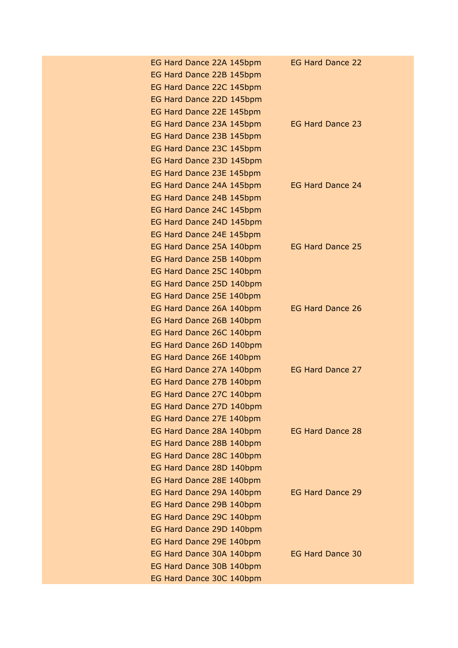| EG Hard Dance 22A 145bpm | <b>EG Hard Dance 22</b> |
|--------------------------|-------------------------|
| EG Hard Dance 22B 145bpm |                         |
| EG Hard Dance 22C 145bpm |                         |
| EG Hard Dance 22D 145bpm |                         |
| EG Hard Dance 22E 145bpm |                         |
| EG Hard Dance 23A 145bpm | EG Hard Dance 23        |
| EG Hard Dance 23B 145bpm |                         |
| EG Hard Dance 23C 145bpm |                         |
| EG Hard Dance 23D 145bpm |                         |
| EG Hard Dance 23E 145bpm |                         |
| EG Hard Dance 24A 145bpm | EG Hard Dance 24        |
| EG Hard Dance 24B 145bpm |                         |
| EG Hard Dance 24C 145bpm |                         |
| EG Hard Dance 24D 145bpm |                         |
| EG Hard Dance 24E 145bpm |                         |
| EG Hard Dance 25A 140bpm | EG Hard Dance 25        |
| EG Hard Dance 25B 140bpm |                         |
| EG Hard Dance 25C 140bpm |                         |
| EG Hard Dance 25D 140bpm |                         |
| EG Hard Dance 25E 140bpm |                         |
| EG Hard Dance 26A 140bpm | <b>EG Hard Dance 26</b> |
| EG Hard Dance 26B 140bpm |                         |
| EG Hard Dance 26C 140bpm |                         |
| EG Hard Dance 26D 140bpm |                         |
| EG Hard Dance 26E 140bpm |                         |
| EG Hard Dance 27A 140bpm | EG Hard Dance 27        |
| EG Hard Dance 27B 140bpm |                         |
| EG Hard Dance 27C 140bpm |                         |
| EG Hard Dance 27D 140bpm |                         |
| EG Hard Dance 27E 140bpm |                         |
| EG Hard Dance 28A 140bpm | EG Hard Dance 28        |
| EG Hard Dance 28B 140bpm |                         |
| EG Hard Dance 28C 140bpm |                         |
| EG Hard Dance 28D 140bpm |                         |
| EG Hard Dance 28E 140bpm |                         |
| EG Hard Dance 29A 140bpm | EG Hard Dance 29        |
| EG Hard Dance 29B 140bpm |                         |
| EG Hard Dance 29C 140bpm |                         |
| EG Hard Dance 29D 140bpm |                         |
| EG Hard Dance 29E 140bpm |                         |
| EG Hard Dance 30A 140bpm | <b>EG Hard Dance 30</b> |
| EG Hard Dance 30B 140bpm |                         |
| EG Hard Dance 30C 140bpm |                         |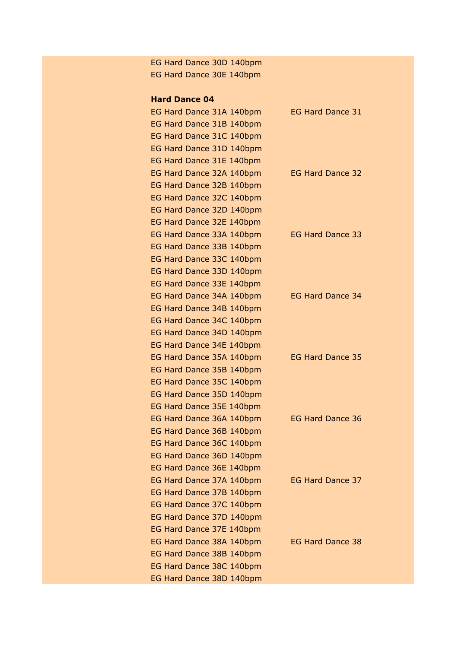EG Hard Dance 30D 140bpm EG Hard Dance 30E 140bpm

#### **Hard Dance 04**

| EG Hard Dance 31A 140bpm | <b>EG Hard Dance 31</b> |
|--------------------------|-------------------------|
| EG Hard Dance 31B 140bpm |                         |
| EG Hard Dance 31C 140bpm |                         |
| EG Hard Dance 31D 140bpm |                         |
| EG Hard Dance 31E 140bpm |                         |
| EG Hard Dance 32A 140bpm | <b>EG Hard Dance 32</b> |
| EG Hard Dance 32B 140bpm |                         |
| EG Hard Dance 32C 140bpm |                         |
| EG Hard Dance 32D 140bpm |                         |
| EG Hard Dance 32E 140bpm |                         |
| EG Hard Dance 33A 140bpm | <b>EG Hard Dance 33</b> |
| EG Hard Dance 33B 140bpm |                         |
| EG Hard Dance 33C 140bpm |                         |
| EG Hard Dance 33D 140bpm |                         |
| EG Hard Dance 33E 140bpm |                         |
| EG Hard Dance 34A 140bpm | <b>EG Hard Dance 34</b> |
| EG Hard Dance 34B 140bpm |                         |
| EG Hard Dance 34C 140bpm |                         |
| EG Hard Dance 34D 140bpm |                         |
| EG Hard Dance 34E 140bpm |                         |
| EG Hard Dance 35A 140bpm | <b>EG Hard Dance 35</b> |
| EG Hard Dance 35B 140bpm |                         |
| EG Hard Dance 35C 140bpm |                         |
| EG Hard Dance 35D 140bpm |                         |
| EG Hard Dance 35E 140bpm |                         |
| EG Hard Dance 36A 140bpm | <b>EG Hard Dance 36</b> |
| EG Hard Dance 36B 140bpm |                         |
| EG Hard Dance 36C 140bpm |                         |
| EG Hard Dance 36D 140bpm |                         |
| EG Hard Dance 36E 140bpm |                         |
| EG Hard Dance 37A 140bpm | <b>EG Hard Dance 37</b> |
| EG Hard Dance 37B 140bpm |                         |
| EG Hard Dance 37C 140bpm |                         |
| EG Hard Dance 37D 140bpm |                         |
| EG Hard Dance 37E 140bpm |                         |
| EG Hard Dance 38A 140bpm | <b>EG Hard Dance 38</b> |
| EG Hard Dance 38B 140bpm |                         |
| EG Hard Dance 38C 140bpm |                         |
| EG Hard Dance 38D 140bpm |                         |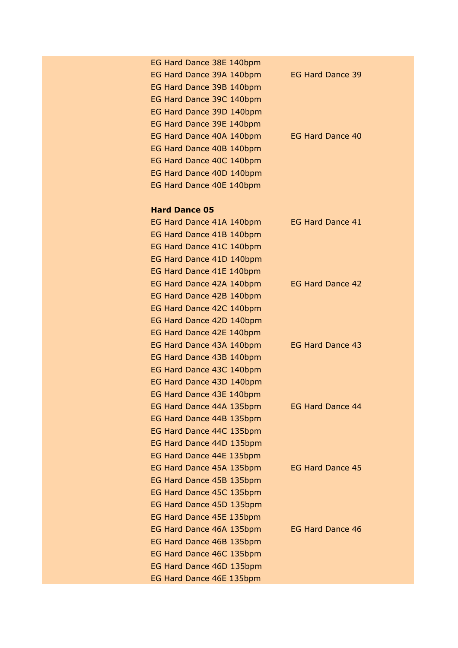| EG Hard Dance 38E 140bpm |                         |
|--------------------------|-------------------------|
| EG Hard Dance 39A 140bpm | EG Hard Dance 39        |
| EG Hard Dance 39B 140bpm |                         |
| EG Hard Dance 39C 140bpm |                         |
| EG Hard Dance 39D 140bpm |                         |
| EG Hard Dance 39E 140bpm |                         |
| EG Hard Dance 40A 140bpm | <b>EG Hard Dance 40</b> |
| EG Hard Dance 40B 140bpm |                         |
| EG Hard Dance 40C 140bpm |                         |
| EG Hard Dance 40D 140bpm |                         |
| EG Hard Dance 40E 140bpm |                         |
|                          |                         |
| <b>Hard Dance 05</b>     |                         |
| EG Hard Dance 41A 140bpm | <b>EG Hard Dance 41</b> |
| EG Hard Dance 41B 140bpm |                         |
| EG Hard Dance 41C 140bpm |                         |
| EG Hard Dance 41D 140bpm |                         |
| EG Hard Dance 41E 140bpm |                         |
| EG Hard Dance 42A 140bpm | <b>EG Hard Dance 42</b> |
| EG Hard Dance 42B 140bpm |                         |
| EG Hard Dance 42C 140bpm |                         |
| EG Hard Dance 42D 140bpm |                         |
| EG Hard Dance 42E 140bpm |                         |
| EG Hard Dance 43A 140bpm | <b>EG Hard Dance 43</b> |
| EG Hard Dance 43B 140bpm |                         |
| EG Hard Dance 43C 140bpm |                         |
| EG Hard Dance 43D 140bpm |                         |
| EG Hard Dance 43E 140bpm |                         |
| EG Hard Dance 44A 135bpm | <b>EG Hard Dance 44</b> |
| EG Hard Dance 44B 135bpm |                         |
| EG Hard Dance 44C 135bpm |                         |
| EG Hard Dance 44D 135bpm |                         |
| EG Hard Dance 44E 135bpm |                         |
| EG Hard Dance 45A 135bpm | EG Hard Dance 45        |
| EG Hard Dance 45B 135bpm |                         |
| EG Hard Dance 45C 135bpm |                         |
| EG Hard Dance 45D 135bpm |                         |
| EG Hard Dance 45E 135bpm |                         |
| EG Hard Dance 46A 135bpm | <b>EG Hard Dance 46</b> |
| EG Hard Dance 46B 135bpm |                         |
| EG Hard Dance 46C 135bpm |                         |
| EG Hard Dance 46D 135bpm |                         |
| EG Hard Dance 46E 135bpm |                         |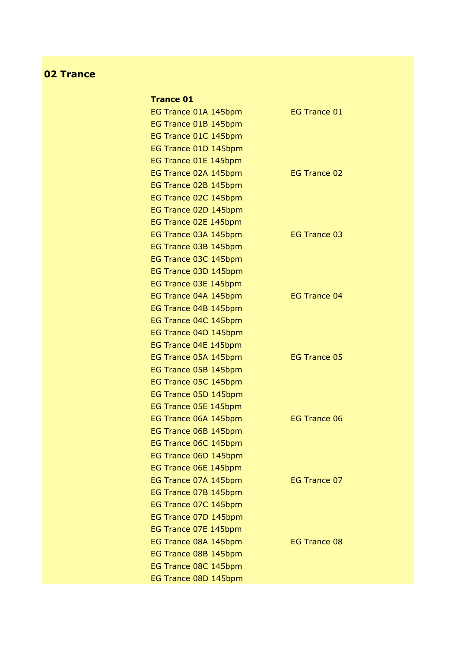### **02 Trance**

| <b>Trance 01</b>     |                     |
|----------------------|---------------------|
| EG Trance 01A 145bpm | EG Trance 01        |
| EG Trance 01B 145bpm |                     |
| EG Trance 01C 145bpm |                     |
| EG Trance 01D 145bpm |                     |
| EG Trance 01E 145bpm |                     |
| EG Trance 02A 145bpm | <b>EG Trance 02</b> |
| EG Trance 02B 145bpm |                     |
| EG Trance 02C 145bpm |                     |
| EG Trance 02D 145bpm |                     |
| EG Trance 02E 145bpm |                     |
| EG Trance 03A 145bpm | <b>EG Trance 03</b> |
| EG Trance 03B 145bpm |                     |
| EG Trance 03C 145bpm |                     |
| EG Trance 03D 145bpm |                     |
| EG Trance 03E 145bpm |                     |
| EG Trance 04A 145bpm | EG Trance 04        |
| EG Trance 04B 145bpm |                     |
| EG Trance 04C 145bpm |                     |
| EG Trance 04D 145bpm |                     |
| EG Trance 04E 145bpm |                     |
| EG Trance 05A 145bpm | <b>EG Trance 05</b> |
| EG Trance 05B 145bpm |                     |
| EG Trance 05C 145bpm |                     |
| EG Trance 05D 145bpm |                     |
| EG Trance 05E 145bpm |                     |
| EG Trance 06A 145bpm | <b>EG Trance 06</b> |
| EG Trance 06B 145bpm |                     |
| EG Trance 06C 145bpm |                     |
| EG Trance 06D 145bpm |                     |
| EG Trance 06E 145bpm |                     |
| EG Trance 07A 145bpm | EG Trance 07        |
| EG Trance 07B 145bpm |                     |
| EG Trance 07C 145bpm |                     |
| EG Trance 07D 145bpm |                     |
| EG Trance 07E 145bpm |                     |
| EG Trance 08A 145bpm | EG Trance 08        |
| EG Trance 08B 145bpm |                     |
| EG Trance 08C 145bpm |                     |
| EG Trance 08D 145bpm |                     |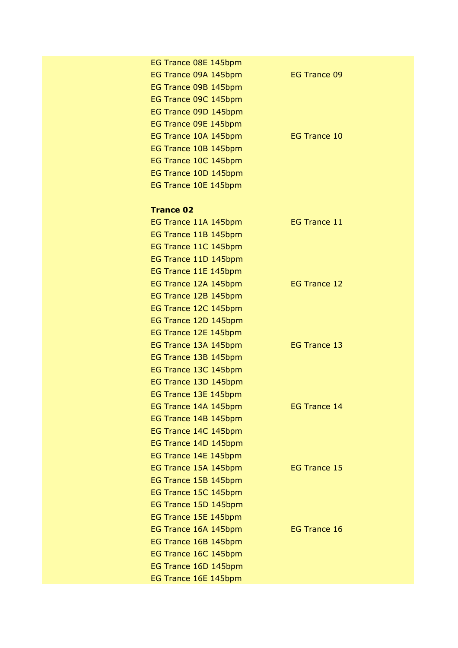| EG Trance 08E 145bpm |                     |
|----------------------|---------------------|
| EG Trance 09A 145bpm | <b>EG Trance 09</b> |
| EG Trance 09B 145bpm |                     |
| EG Trance 09C 145bpm |                     |
| EG Trance 09D 145bpm |                     |
| EG Trance 09E 145bpm |                     |
| EG Trance 10A 145bpm | <b>EG Trance 10</b> |
| EG Trance 10B 145bpm |                     |
| EG Trance 10C 145bpm |                     |
| EG Trance 10D 145bpm |                     |
| EG Trance 10E 145bpm |                     |
|                      |                     |
| <b>Trance 02</b>     |                     |
| EG Trance 11A 145bpm | <b>EG Trance 11</b> |
| EG Trance 11B 145bpm |                     |
| EG Trance 11C 145bpm |                     |
| EG Trance 11D 145bpm |                     |
| EG Trance 11E 145bpm |                     |
| EG Trance 12A 145bpm | <b>EG Trance 12</b> |
| EG Trance 12B 145bpm |                     |
| EG Trance 12C 145bpm |                     |
| EG Trance 12D 145bpm |                     |
| EG Trance 12E 145bpm |                     |
| EG Trance 13A 145bpm | EG Trance 13        |
| EG Trance 13B 145bpm |                     |
| EG Trance 13C 145bpm |                     |
| EG Trance 13D 145bpm |                     |
| EG Trance 13E 145bpm |                     |
| EG Trance 14A 145bpm | <b>EG Trance 14</b> |
| EG Trance 14B 145bpm |                     |
| EG Trance 14C 145bpm |                     |
| EG Trance 14D 145bpm |                     |
| EG Trance 14E 145bpm |                     |
| EG Trance 15A 145bpm | <b>EG Trance 15</b> |
| EG Trance 15B 145bpm |                     |
| EG Trance 15C 145bpm |                     |
| EG Trance 15D 145bpm |                     |
| EG Trance 15E 145bpm |                     |
| EG Trance 16A 145bpm | <b>EG Trance 16</b> |
| EG Trance 16B 145bpm |                     |
| EG Trance 16C 145bpm |                     |
| EG Trance 16D 145bpm |                     |
| EG Trance 16E 145bpm |                     |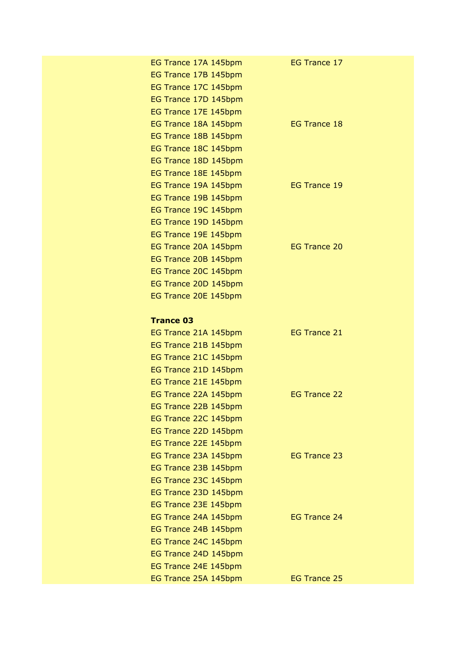| EG Trance 17A 145bpm | <b>EG Trance 17</b> |
|----------------------|---------------------|
| EG Trance 17B 145bpm |                     |
| EG Trance 17C 145bpm |                     |
| EG Trance 17D 145bpm |                     |
| EG Trance 17E 145bpm |                     |
| EG Trance 18A 145bpm | <b>EG Trance 18</b> |
| EG Trance 18B 145bpm |                     |
| EG Trance 18C 145bpm |                     |
| EG Trance 18D 145bpm |                     |
| EG Trance 18E 145bpm |                     |
| EG Trance 19A 145bpm | <b>EG Trance 19</b> |
| EG Trance 19B 145bpm |                     |
| EG Trance 19C 145bpm |                     |
| EG Trance 19D 145bpm |                     |
| EG Trance 19E 145bpm |                     |
| EG Trance 20A 145bpm | <b>EG Trance 20</b> |
| EG Trance 20B 145bpm |                     |
| EG Trance 20C 145bpm |                     |
| EG Trance 20D 145bpm |                     |
| EG Trance 20E 145bpm |                     |
|                      |                     |
| <b>Trance 03</b>     |                     |
| EG Trance 21A 145bpm | <b>EG Trance 21</b> |
| EG Trance 21B 145bpm |                     |
| EG Trance 21C 145bpm |                     |
| EG Trance 21D 145bpm |                     |
| EG Trance 21E 145bpm |                     |
| EG Trance 22A 145bpm | <b>EG Trance 22</b> |
| EG Trance 22B 145bpm |                     |
| EG Trance 22C 145bpm |                     |
| EG Trance 22D 145bpm |                     |
| EG Trance 22E 145bpm |                     |
| EG Trance 23A 145bpm | EG Trance 23        |
| EG Trance 23B 145bpm |                     |
| EG Trance 23C 145bpm |                     |
| EG Trance 23D 145bpm |                     |
| EG Trance 23E 145bpm |                     |
| EG Trance 24A 145bpm | <b>EG Trance 24</b> |
| EG Trance 24B 145bpm |                     |
| EG Trance 24C 145bpm |                     |
| EG Trance 24D 145bpm |                     |
| EG Trance 24E 145bpm |                     |
| EG Trance 25A 145bpm | <b>EG Trance 25</b> |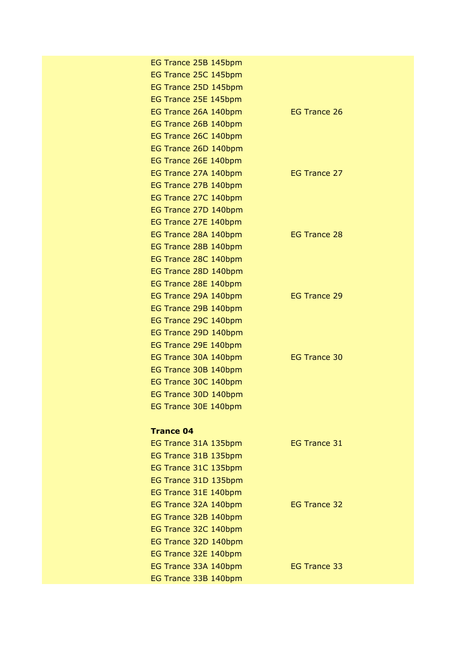| EG Trance 25B 145bpm |                     |
|----------------------|---------------------|
| EG Trance 25C 145bpm |                     |
| EG Trance 25D 145bpm |                     |
| EG Trance 25E 145bpm |                     |
| EG Trance 26A 140bpm | <b>EG Trance 26</b> |
| EG Trance 26B 140bpm |                     |
| EG Trance 26C 140bpm |                     |
| EG Trance 26D 140bpm |                     |
| EG Trance 26E 140bpm |                     |
| EG Trance 27A 140bpm | EG Trance 27        |
| EG Trance 27B 140bpm |                     |
| EG Trance 27C 140bpm |                     |
| EG Trance 27D 140bpm |                     |
| EG Trance 27E 140bpm |                     |
| EG Trance 28A 140bpm | <b>EG Trance 28</b> |
| EG Trance 28B 140bpm |                     |
| EG Trance 28C 140bpm |                     |
| EG Trance 28D 140bpm |                     |
| EG Trance 28E 140bpm |                     |
| EG Trance 29A 140bpm | <b>EG Trance 29</b> |
| EG Trance 29B 140bpm |                     |
| EG Trance 29C 140bpm |                     |
| EG Trance 29D 140bpm |                     |
| EG Trance 29E 140bpm |                     |
| EG Trance 30A 140bpm | <b>EG Trance 30</b> |
| EG Trance 30B 140bpm |                     |
| EG Trance 30C 140bpm |                     |
| EG Trance 30D 140bpm |                     |
| EG Trance 30E 140bpm |                     |
|                      |                     |
| <b>Trance 04</b>     |                     |
| EG Trance 31A 135bpm | <b>EG Trance 31</b> |
| EG Trance 31B 135bpm |                     |
| EG Trance 31C 135bpm |                     |
| EG Trance 31D 135bpm |                     |
| EG Trance 31E 140bpm |                     |
| EG Trance 32A 140bpm | EG Trance 32        |
| EG Trance 32B 140bpm |                     |
| EG Trance 32C 140bpm |                     |
| EG Trance 32D 140bpm |                     |
| EG Trance 32E 140bpm |                     |
| EG Trance 33A 140bpm | EG Trance 33        |
| EG Trance 33B 140bpm |                     |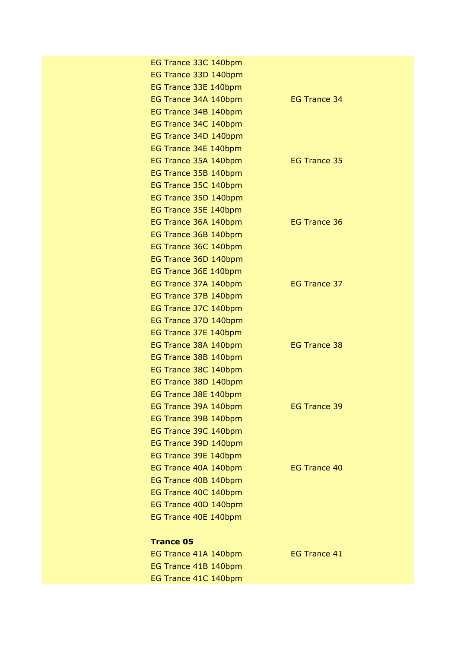| EG Trance 33C 140bpm |                     |
|----------------------|---------------------|
| EG Trance 33D 140bpm |                     |
| EG Trance 33E 140bpm |                     |
| EG Trance 34A 140bpm | <b>EG Trance 34</b> |
| EG Trance 34B 140bpm |                     |
| EG Trance 34C 140bpm |                     |
| EG Trance 34D 140bpm |                     |
| EG Trance 34E 140bpm |                     |
| EG Trance 35A 140bpm | <b>EG Trance 35</b> |
| EG Trance 35B 140bpm |                     |
| EG Trance 35C 140bpm |                     |
| EG Trance 35D 140bpm |                     |
| EG Trance 35E 140bpm |                     |
| EG Trance 36A 140bpm | <b>EG Trance 36</b> |
| EG Trance 36B 140bpm |                     |
| EG Trance 36C 140bpm |                     |
| EG Trance 36D 140bpm |                     |
| EG Trance 36E 140bpm |                     |
| EG Trance 37A 140bpm | EG Trance 37        |
| EG Trance 37B 140bpm |                     |
| EG Trance 37C 140bpm |                     |
| EG Trance 37D 140bpm |                     |
| EG Trance 37E 140bpm |                     |
| EG Trance 38A 140bpm | <b>EG Trance 38</b> |
| EG Trance 38B 140bpm |                     |
| EG Trance 38C 140bpm |                     |
| EG Trance 38D 140bpm |                     |
| EG Trance 38E 140bpm |                     |
| EG Trance 39A 140bpm | <b>EG Trance 39</b> |
| EG Trance 39B 140bpm |                     |
| EG Trance 39C 140bpm |                     |
| EG Trance 39D 140bpm |                     |
| EG Trance 39E 140bpm |                     |
| EG Trance 40A 140bpm | <b>EG Trance 40</b> |
| EG Trance 40B 140bpm |                     |
| EG Trance 40C 140bpm |                     |
| EG Trance 40D 140bpm |                     |
| EG Trance 40E 140bpm |                     |
| <b>Trance 05</b>     |                     |
| EG Trance 41A 140bpm | <b>EG Trance 41</b> |
| EG Trance 41B 140bpm |                     |
| EG Trance 41C 140bpm |                     |
|                      |                     |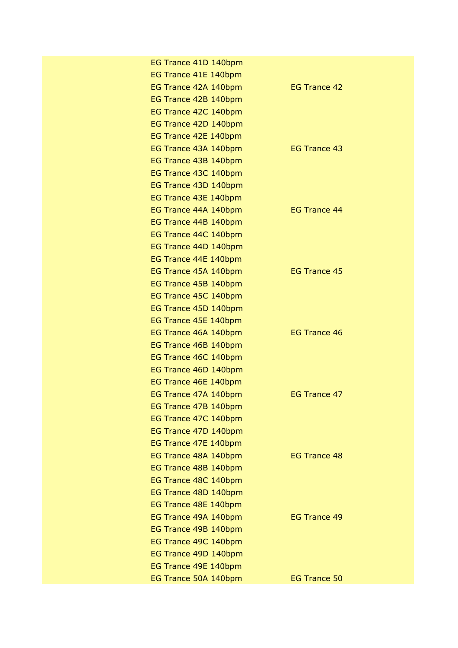| EG Trance 41D 140bpm |                     |  |
|----------------------|---------------------|--|
| EG Trance 41E 140bpm |                     |  |
| EG Trance 42A 140bpm | <b>EG Trance 42</b> |  |
| EG Trance 42B 140bpm |                     |  |
| EG Trance 42C 140bpm |                     |  |
| EG Trance 42D 140bpm |                     |  |
| EG Trance 42E 140bpm |                     |  |
| EG Trance 43A 140bpm | <b>EG Trance 43</b> |  |
| EG Trance 43B 140bpm |                     |  |
| EG Trance 43C 140bpm |                     |  |
| EG Trance 43D 140bpm |                     |  |
| EG Trance 43E 140bpm |                     |  |
| EG Trance 44A 140bpm | <b>EG Trance 44</b> |  |
| EG Trance 44B 140bpm |                     |  |
| EG Trance 44C 140bpm |                     |  |
| EG Trance 44D 140bpm |                     |  |
| EG Trance 44E 140bpm |                     |  |
| EG Trance 45A 140bpm | <b>EG Trance 45</b> |  |
| EG Trance 45B 140bpm |                     |  |
| EG Trance 45C 140bpm |                     |  |
| EG Trance 45D 140bpm |                     |  |
| EG Trance 45E 140bpm |                     |  |
| EG Trance 46A 140bpm | <b>EG Trance 46</b> |  |
| EG Trance 46B 140bpm |                     |  |
| EG Trance 46C 140bpm |                     |  |
| EG Trance 46D 140bpm |                     |  |
| EG Trance 46E 140bpm |                     |  |
| EG Trance 47A 140bpm | EG Trance 47        |  |
| EG Trance 47B 140bpm |                     |  |
| EG Trance 47C 140bpm |                     |  |
| EG Trance 47D 140bpm |                     |  |
| EG Trance 47E 140bpm |                     |  |
| EG Trance 48A 140bpm | <b>EG Trance 48</b> |  |
| EG Trance 48B 140bpm |                     |  |
| EG Trance 48C 140bpm |                     |  |
| EG Trance 48D 140bpm |                     |  |
| EG Trance 48E 140bpm |                     |  |
| EG Trance 49A 140bpm | <b>EG Trance 49</b> |  |
| EG Trance 49B 140bpm |                     |  |
| EG Trance 49C 140bpm |                     |  |
| EG Trance 49D 140bpm |                     |  |
| EG Trance 49E 140bpm |                     |  |
| EG Trance 50A 140bpm | <b>EG Trance 50</b> |  |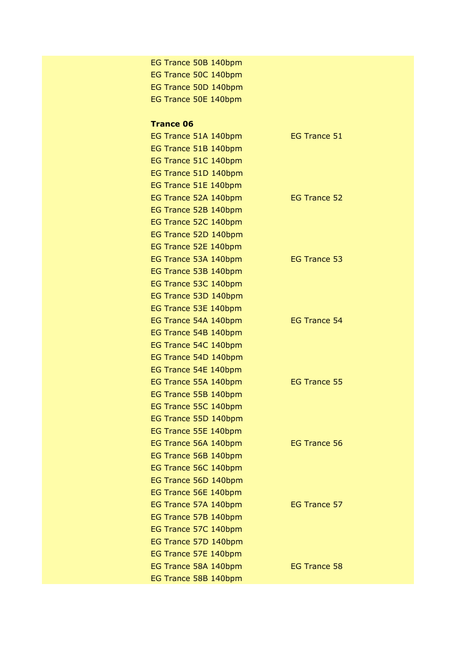| EG Trance 50B 140bpm |                     |  |
|----------------------|---------------------|--|
| EG Trance 50C 140bpm |                     |  |
| EG Trance 50D 140bpm |                     |  |
| EG Trance 50E 140bpm |                     |  |
|                      |                     |  |
| <b>Trance 06</b>     |                     |  |
| EG Trance 51A 140bpm | <b>EG Trance 51</b> |  |
| EG Trance 51B 140bpm |                     |  |
| EG Trance 51C 140bpm |                     |  |
| EG Trance 51D 140bpm |                     |  |
| EG Trance 51E 140bpm |                     |  |
| EG Trance 52A 140bpm | <b>EG Trance 52</b> |  |
| EG Trance 52B 140bpm |                     |  |
| EG Trance 52C 140bpm |                     |  |
| EG Trance 52D 140bpm |                     |  |
| EG Trance 52E 140bpm |                     |  |
| EG Trance 53A 140bpm | <b>EG Trance 53</b> |  |
| EG Trance 53B 140bpm |                     |  |
| EG Trance 53C 140bpm |                     |  |
| EG Trance 53D 140bpm |                     |  |
| EG Trance 53E 140bpm |                     |  |
| EG Trance 54A 140bpm | <b>EG Trance 54</b> |  |
| EG Trance 54B 140bpm |                     |  |
| EG Trance 54C 140bpm |                     |  |
| EG Trance 54D 140bpm |                     |  |
| EG Trance 54E 140bpm |                     |  |
| EG Trance 55A 140bpm | <b>EG Trance 55</b> |  |
| EG Trance 55B 140bpm |                     |  |
| EG Trance 55C 140bpm |                     |  |
| EG Trance 55D 140bpm |                     |  |
| EG Trance 55E 140bpm |                     |  |
| EG Trance 56A 140bpm | <b>EG Trance 56</b> |  |
| EG Trance 56B 140bpm |                     |  |
| EG Trance 56C 140bpm |                     |  |
| EG Trance 56D 140bpm |                     |  |
| EG Trance 56E 140bpm |                     |  |
| EG Trance 57A 140bpm | EG Trance 57        |  |
| EG Trance 57B 140bpm |                     |  |
| EG Trance 57C 140bpm |                     |  |
| EG Trance 57D 140bpm |                     |  |
| EG Trance 57E 140bpm |                     |  |
| EG Trance 58A 140bpm | <b>EG Trance 58</b> |  |
| EG Trance 58B 140bpm |                     |  |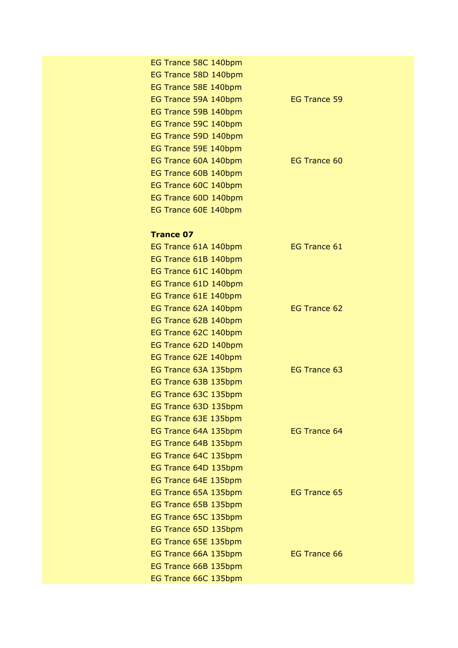| EG Trance 58C 140bpm |                     |
|----------------------|---------------------|
| EG Trance 58D 140bpm |                     |
| EG Trance 58E 140bpm |                     |
| EG Trance 59A 140bpm | <b>EG Trance 59</b> |
| EG Trance 59B 140bpm |                     |
| EG Trance 59C 140bpm |                     |
| EG Trance 59D 140bpm |                     |
| EG Trance 59E 140bpm |                     |
| EG Trance 60A 140bpm | EG Trance 60        |
| EG Trance 60B 140bpm |                     |
| EG Trance 60C 140bpm |                     |
| EG Trance 60D 140bpm |                     |
| EG Trance 60E 140bpm |                     |
|                      |                     |
| <b>Trance 07</b>     |                     |
| EG Trance 61A 140bpm | EG Trance 61        |
| EG Trance 61B 140bpm |                     |
| EG Trance 61C 140bpm |                     |
| EG Trance 61D 140bpm |                     |
| EG Trance 61E 140bpm |                     |
| EG Trance 62A 140bpm | EG Trance 62        |
| EG Trance 62B 140bpm |                     |
| EG Trance 62C 140bpm |                     |
| EG Trance 62D 140bpm |                     |
| EG Trance 62E 140bpm |                     |
| EG Trance 63A 135bpm | EG Trance 63        |
| EG Trance 63B 135bpm |                     |
| EG Trance 63C 135bpm |                     |
| EG Trance 63D 135bpm |                     |
| EG Trance 63E 135bpm |                     |
| EG Trance 64A 135bpm | EG Trance 64        |
| EG Trance 64B 135bpm |                     |
| EG Trance 64C 135bpm |                     |
| EG Trance 64D 135bpm |                     |
| EG Trance 64E 135bpm |                     |
| EG Trance 65A 135bpm | EG Trance 65        |
| EG Trance 65B 135bpm |                     |
| EG Trance 65C 135bpm |                     |
| EG Trance 65D 135bpm |                     |
| EG Trance 65E 135bpm |                     |
| EG Trance 66A 135bpm | <b>EG Trance 66</b> |
| EG Trance 66B 135bpm |                     |
| EG Trance 66C 135bpm |                     |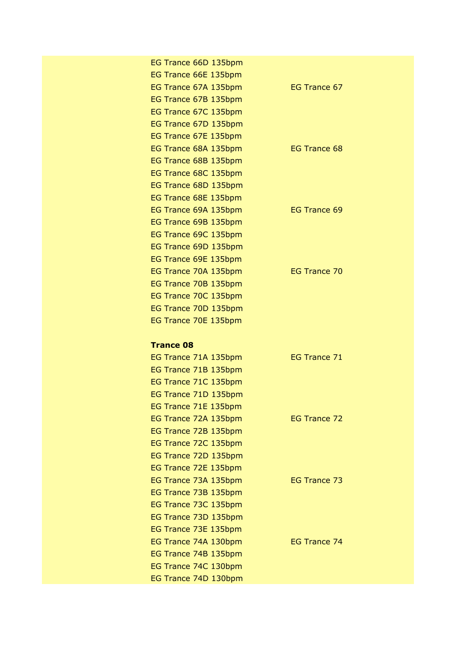| EG Trance 66D 135bpm |                     |
|----------------------|---------------------|
| EG Trance 66E 135bpm |                     |
| EG Trance 67A 135bpm | EG Trance 67        |
| EG Trance 67B 135bpm |                     |
| EG Trance 67C 135bpm |                     |
| EG Trance 67D 135bpm |                     |
| EG Trance 67E 135bpm |                     |
| EG Trance 68A 135bpm | EG Trance 68        |
| EG Trance 68B 135bpm |                     |
| EG Trance 68C 135bpm |                     |
| EG Trance 68D 135bpm |                     |
| EG Trance 68E 135bpm |                     |
| EG Trance 69A 135bpm | EG Trance 69        |
| EG Trance 69B 135bpm |                     |
| EG Trance 69C 135bpm |                     |
| EG Trance 69D 135bpm |                     |
| EG Trance 69E 135bpm |                     |
| EG Trance 70A 135bpm | <b>EG Trance 70</b> |
| EG Trance 70B 135bpm |                     |
| EG Trance 70C 135bpm |                     |
| EG Trance 70D 135bpm |                     |
| EG Trance 70E 135bpm |                     |
| <b>Trance 08</b>     |                     |
| EG Trance 71A 135bpm | <b>EG Trance 71</b> |
| EG Trance 71B 135bpm |                     |
| EG Trance 71C 135bpm |                     |
| EG Trance 71D 135bpm |                     |
| EG Trance 71E 135bpm |                     |
| EG Trance 72A 135bpm | EG Trance 72        |
| EG Trance 72B 135bpm |                     |
| EG Trance 72C 135bpm |                     |
| EG Trance 72D 135bpm |                     |
| EG Trance 72E 135bpm |                     |
| EG Trance 73A 135bpm | <b>EG Trance 73</b> |
|                      |                     |
| EG Trance 73B 135bpm |                     |
| EG Trance 73C 135bpm |                     |
| EG Trance 73D 135bpm |                     |
| EG Trance 73E 135bpm |                     |
| EG Trance 74A 130bpm | <b>EG Trance 74</b> |
| EG Trance 74B 135bpm |                     |
| EG Trance 74C 130bpm |                     |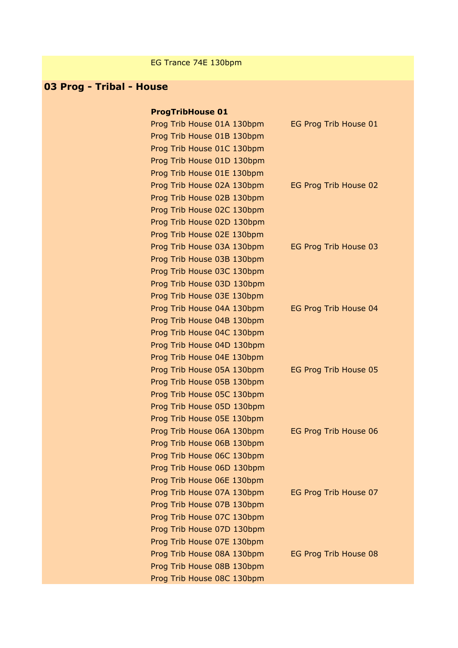#### EG Trance 74E 130bpm

# **03 Prog - Tribal - House**

# **ProgTribHouse 01**

| Prog Trib House 01A 130bpm | EG Prog Trib House 01 |
|----------------------------|-----------------------|
| Prog Trib House 01B 130bpm |                       |
| Prog Trib House 01C 130bpm |                       |
| Prog Trib House 01D 130bpm |                       |
| Prog Trib House 01E 130bpm |                       |
| Prog Trib House 02A 130bpm | EG Prog Trib House 02 |
| Prog Trib House 02B 130bpm |                       |
| Prog Trib House 02C 130bpm |                       |
| Prog Trib House 02D 130bpm |                       |
| Prog Trib House 02E 130bpm |                       |
| Prog Trib House 03A 130bpm | EG Prog Trib House 03 |
| Prog Trib House 03B 130bpm |                       |
| Prog Trib House 03C 130bpm |                       |
| Prog Trib House 03D 130bpm |                       |
| Prog Trib House 03E 130bpm |                       |
| Prog Trib House 04A 130bpm | EG Prog Trib House 04 |
| Prog Trib House 04B 130bpm |                       |
| Prog Trib House 04C 130bpm |                       |
| Prog Trib House 04D 130bpm |                       |
| Prog Trib House 04E 130bpm |                       |
| Prog Trib House 05A 130bpm | EG Prog Trib House 05 |
| Prog Trib House 05B 130bpm |                       |
| Prog Trib House 05C 130bpm |                       |
| Prog Trib House 05D 130bpm |                       |
| Prog Trib House 05E 130bpm |                       |
| Prog Trib House 06A 130bpm | EG Prog Trib House 06 |
| Prog Trib House 06B 130bpm |                       |
| Prog Trib House 06C 130bpm |                       |
| Prog Trib House 06D 130bpm |                       |
| Prog Trib House 06E 130bpm |                       |
| Prog Trib House 07A 130bpm | EG Prog Trib House 07 |
| Prog Trib House 07B 130bpm |                       |
| Prog Trib House 07C 130bpm |                       |
| Prog Trib House 07D 130bpm |                       |
| Prog Trib House 07E 130bpm |                       |
| Prog Trib House 08A 130bpm | EG Prog Trib House 08 |
| Prog Trib House 08B 130bpm |                       |
| Prog Trib House 08C 130bpm |                       |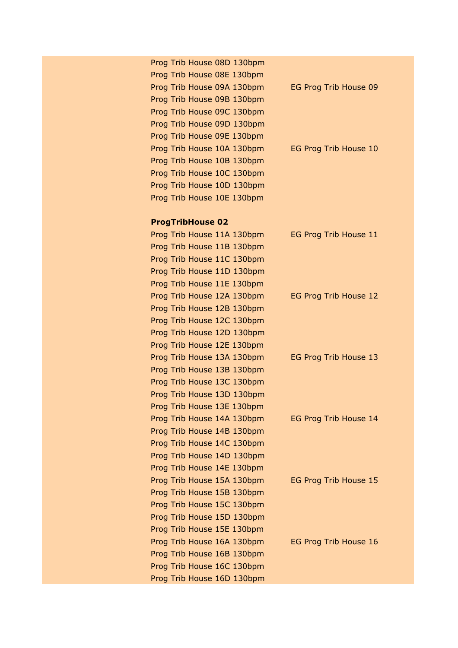Prog Trib House 08D 130bpm Prog Trib House 08E 130bpm Prog Trib House 09A 130bpm EG Prog Trib House 09 Prog Trib House 09B 130bpm Prog Trib House 09C 130bpm Prog Trib House 09D 130bpm Prog Trib House 09E 130bpm Prog Trib House 10A 130bpm EG Prog Trib House 10 Prog Trib House 10B 130bpm Prog Trib House 10C 130bpm Prog Trib House 10D 130bpm Prog Trib House 10E 130bpm

#### **ProgTribHouse 02**

Prog Trib House 11A 130bpm EG Prog Trib House 11 Prog Trib House 11B 130bpm Prog Trib House 11C 130bpm Prog Trib House 11D 130bpm Prog Trib House 11E 130bpm Prog Trib House 12A 130bpm EG Prog Trib House 12 Prog Trib House 12B 130bpm Prog Trib House 12C 130bpm Prog Trib House 12D 130bpm Prog Trib House 12E 130bpm Prog Trib House 13A 130bpm EG Prog Trib House 13 Prog Trib House 13B 130bpm Prog Trib House 13C 130bpm Prog Trib House 13D 130bpm Prog Trib House 13E 130bpm Prog Trib House 14A 130bpm EG Prog Trib House 14 Prog Trib House 14B 130bpm Prog Trib House 14C 130bpm Prog Trib House 14D 130bpm Prog Trib House 14E 130bpm Prog Trib House 15A 130bpm EG Prog Trib House 15 Prog Trib House 15B 130bpm Prog Trib House 15C 130bpm Prog Trib House 15D 130bpm Prog Trib House 15E 130bpm Prog Trib House 16A 130bpm EG Prog Trib House 16 Prog Trib House 16B 130bpm Prog Trib House 16C 130bpm Prog Trib House 16D 130bpm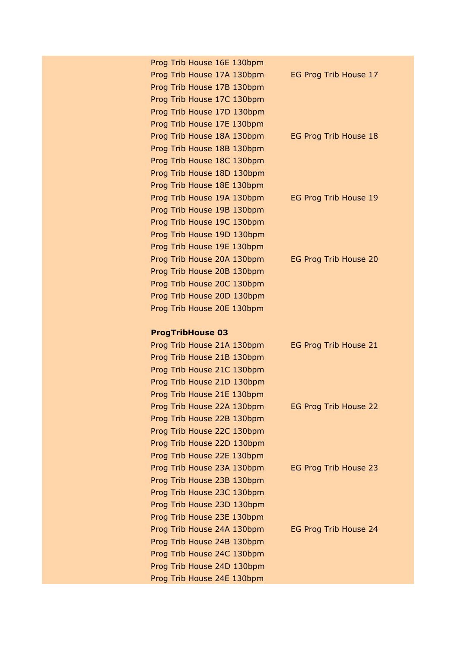| Prog Trib House 16E 130bpm                               |                       |
|----------------------------------------------------------|-----------------------|
| Prog Trib House 17A 130bpm                               | EG Prog Trib House 17 |
| Prog Trib House 17B 130bpm                               |                       |
| Prog Trib House 17C 130bpm                               |                       |
| Prog Trib House 17D 130bpm                               |                       |
| Prog Trib House 17E 130bpm                               |                       |
| Prog Trib House 18A 130bpm                               | EG Prog Trib House 18 |
| Prog Trib House 18B 130bpm                               |                       |
| Prog Trib House 18C 130bpm                               |                       |
| Prog Trib House 18D 130bpm                               |                       |
| Prog Trib House 18E 130bpm                               |                       |
| Prog Trib House 19A 130bpm                               | EG Prog Trib House 19 |
| Prog Trib House 19B 130bpm                               |                       |
| Prog Trib House 19C 130bpm                               |                       |
| Prog Trib House 19D 130bpm                               |                       |
| Prog Trib House 19E 130bpm                               |                       |
| Prog Trib House 20A 130bpm                               | EG Prog Trib House 20 |
| Prog Trib House 20B 130bpm                               |                       |
| Prog Trib House 20C 130bpm                               |                       |
| Prog Trib House 20D 130bpm                               |                       |
| Prog Trib House 20E 130bpm                               |                       |
|                                                          |                       |
|                                                          |                       |
| <b>ProgTribHouse 03</b>                                  |                       |
| Prog Trib House 21A 130bpm                               | EG Prog Trib House 21 |
| Prog Trib House 21B 130bpm                               |                       |
| Prog Trib House 21C 130bpm                               |                       |
| Prog Trib House 21D 130bpm                               |                       |
| Prog Trib House 21E 130bpm                               |                       |
| Prog Trib House 22A 130bpm                               | EG Prog Trib House 22 |
| Prog Trib House 22B 130bpm                               |                       |
| Prog Trib House 22C 130bpm                               |                       |
| Prog Trib House 22D 130bpm                               |                       |
| Prog Trib House 22E 130bpm                               |                       |
| Prog Trib House 23A 130bpm                               | EG Prog Trib House 23 |
| Prog Trib House 23B 130bpm                               |                       |
| Prog Trib House 23C 130bpm                               |                       |
| Prog Trib House 23D 130bpm                               |                       |
| Prog Trib House 23E 130bpm                               |                       |
| Prog Trib House 24A 130bpm                               | EG Prog Trib House 24 |
| Prog Trib House 24B 130bpm                               |                       |
| Prog Trib House 24C 130bpm<br>Prog Trib House 24D 130bpm |                       |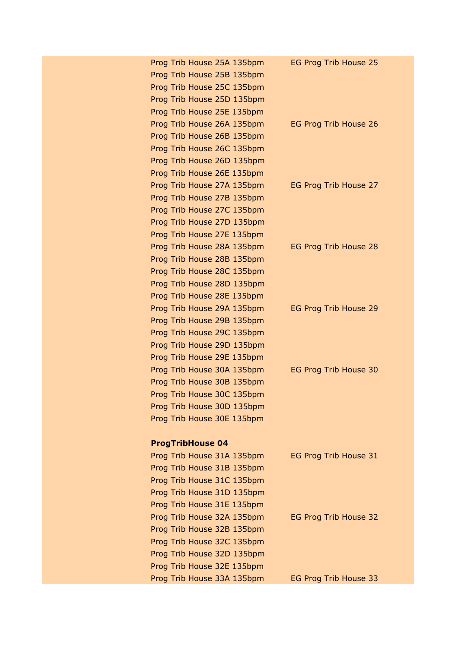| Prog Trib House 25A 135bpm | EG Prog Trib House 25 |
|----------------------------|-----------------------|
| Prog Trib House 25B 135bpm |                       |
| Prog Trib House 25C 135bpm |                       |
| Prog Trib House 25D 135bpm |                       |
| Prog Trib House 25E 135bpm |                       |
| Prog Trib House 26A 135bpm | EG Prog Trib House 26 |
| Prog Trib House 26B 135bpm |                       |
| Prog Trib House 26C 135bpm |                       |
| Prog Trib House 26D 135bpm |                       |
| Prog Trib House 26E 135bpm |                       |
| Prog Trib House 27A 135bpm | EG Prog Trib House 27 |
| Prog Trib House 27B 135bpm |                       |
| Prog Trib House 27C 135bpm |                       |
| Prog Trib House 27D 135bpm |                       |
| Prog Trib House 27E 135bpm |                       |
| Prog Trib House 28A 135bpm | EG Prog Trib House 28 |
| Prog Trib House 28B 135bpm |                       |
| Prog Trib House 28C 135bpm |                       |
| Prog Trib House 28D 135bpm |                       |
| Prog Trib House 28E 135bpm |                       |
| Prog Trib House 29A 135bpm | EG Prog Trib House 29 |
| Prog Trib House 29B 135bpm |                       |
| Prog Trib House 29C 135bpm |                       |
| Prog Trib House 29D 135bpm |                       |
| Prog Trib House 29E 135bpm |                       |
| Prog Trib House 30A 135bpm | EG Prog Trib House 30 |
| Prog Trib House 30B 135bpm |                       |
| Prog Trib House 30C 135bpm |                       |
| Prog Trib House 30D 135bpm |                       |
| Prog Trib House 30E 135bpm |                       |
|                            |                       |
| <b>ProgTribHouse 04</b>    |                       |
| Prog Trib House 31A 135bpm | EG Prog Trib House 31 |
| Prog Trib House 31B 135bpm |                       |
| Prog Trib House 31C 135bpm |                       |
| Prog Trib House 31D 135bpm |                       |
| Prog Trib House 31E 135bpm |                       |
| Prog Trib House 32A 135bpm | EG Prog Trib House 32 |
| Prog Trib House 32B 135bpm |                       |
| Prog Trib House 32C 135bpm |                       |
| Prog Trib House 32D 135bpm |                       |
| Prog Trib House 32E 135bpm |                       |
| Prog Trib House 33A 135bpm | EG Prog Trib House 33 |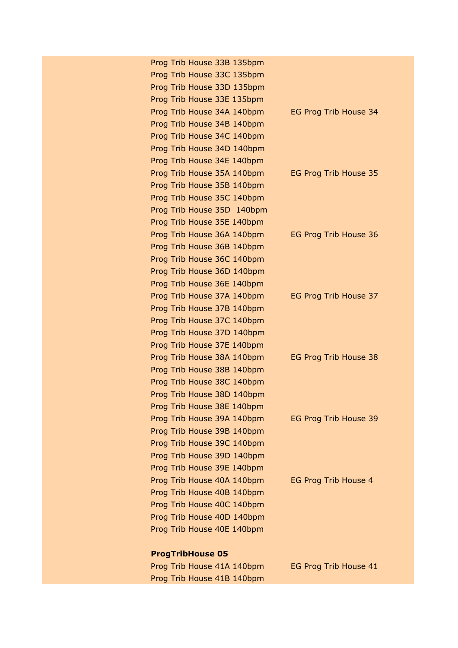| Prog Trib House 33B 135bpm |                       |
|----------------------------|-----------------------|
| Prog Trib House 33C 135bpm |                       |
| Prog Trib House 33D 135bpm |                       |
| Prog Trib House 33E 135bpm |                       |
| Prog Trib House 34A 140bpm | EG Prog Trib House 34 |
| Prog Trib House 34B 140bpm |                       |
| Prog Trib House 34C 140bpm |                       |
| Prog Trib House 34D 140bpm |                       |
| Prog Trib House 34E 140bpm |                       |
| Prog Trib House 35A 140bpm | EG Prog Trib House 35 |
| Prog Trib House 35B 140bpm |                       |
| Prog Trib House 35C 140bpm |                       |
| Prog Trib House 35D 140bpm |                       |
| Prog Trib House 35E 140bpm |                       |
| Prog Trib House 36A 140bpm | EG Prog Trib House 36 |
| Prog Trib House 36B 140bpm |                       |
| Prog Trib House 36C 140bpm |                       |
| Prog Trib House 36D 140bpm |                       |
| Prog Trib House 36E 140bpm |                       |
| Prog Trib House 37A 140bpm | EG Prog Trib House 37 |
| Prog Trib House 37B 140bpm |                       |
| Prog Trib House 37C 140bpm |                       |
| Prog Trib House 37D 140bpm |                       |
| Prog Trib House 37E 140bpm |                       |
| Prog Trib House 38A 140bpm | EG Prog Trib House 38 |
| Prog Trib House 38B 140bpm |                       |
| Prog Trib House 38C 140bpm |                       |
| Prog Trib House 38D 140bpm |                       |
| Prog Trib House 38E 140bpm |                       |
| Prog Trib House 39A 140bpm | EG Prog Trib House 39 |
| Prog Trib House 39B 140bpm |                       |
| Prog Trib House 39C 140bpm |                       |
| Prog Trib House 39D 140bpm |                       |
| Prog Trib House 39E 140bpm |                       |
| Prog Trib House 40A 140bpm | EG Prog Trib House 4  |
| Prog Trib House 40B 140bpm |                       |
| Prog Trib House 40C 140bpm |                       |
| Prog Trib House 40D 140bpm |                       |
| Prog Trib House 40E 140bpm |                       |
| <b>ProgTribHouse 05</b>    |                       |
| Prog Trib House 41A 140bpm | EG Prog Trib House 41 |
| Prog Trib House 41B 140bpm |                       |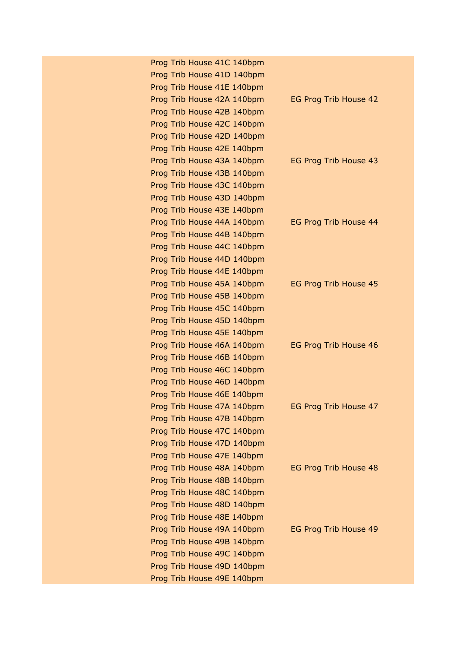| Prog Trib House 41C 140bpm |                       |
|----------------------------|-----------------------|
| Prog Trib House 41D 140bpm |                       |
| Prog Trib House 41E 140bpm |                       |
| Prog Trib House 42A 140bpm | EG Prog Trib House 42 |
| Prog Trib House 42B 140bpm |                       |
| Prog Trib House 42C 140bpm |                       |
| Prog Trib House 42D 140bpm |                       |
| Prog Trib House 42E 140bpm |                       |
| Prog Trib House 43A 140bpm | EG Prog Trib House 43 |
| Prog Trib House 43B 140bpm |                       |
| Prog Trib House 43C 140bpm |                       |
| Prog Trib House 43D 140bpm |                       |
| Prog Trib House 43E 140bpm |                       |
| Prog Trib House 44A 140bpm | EG Prog Trib House 44 |
| Prog Trib House 44B 140bpm |                       |
| Prog Trib House 44C 140bpm |                       |
| Prog Trib House 44D 140bpm |                       |
| Prog Trib House 44E 140bpm |                       |
| Prog Trib House 45A 140bpm | EG Prog Trib House 45 |
| Prog Trib House 45B 140bpm |                       |
| Prog Trib House 45C 140bpm |                       |
| Prog Trib House 45D 140bpm |                       |
| Prog Trib House 45E 140bpm |                       |
| Prog Trib House 46A 140bpm | EG Prog Trib House 46 |
| Prog Trib House 46B 140bpm |                       |
| Prog Trib House 46C 140bpm |                       |
| Prog Trib House 46D 140bpm |                       |
| Prog Trib House 46E 140bpm |                       |
| Prog Trib House 47A 140bpm | EG Prog Trib House 47 |
| Prog Trib House 47B 140bpm |                       |
| Prog Trib House 47C 140bpm |                       |
| Prog Trib House 47D 140bpm |                       |
| Prog Trib House 47E 140bpm |                       |
| Prog Trib House 48A 140bpm | EG Prog Trib House 48 |
| Prog Trib House 48B 140bpm |                       |
| Prog Trib House 48C 140bpm |                       |
| Prog Trib House 48D 140bpm |                       |
| Prog Trib House 48E 140bpm |                       |
| Prog Trib House 49A 140bpm | EG Prog Trib House 49 |
| Prog Trib House 49B 140bpm |                       |
| Prog Trib House 49C 140bpm |                       |
| Prog Trib House 49D 140bpm |                       |
| Prog Trib House 49E 140bpm |                       |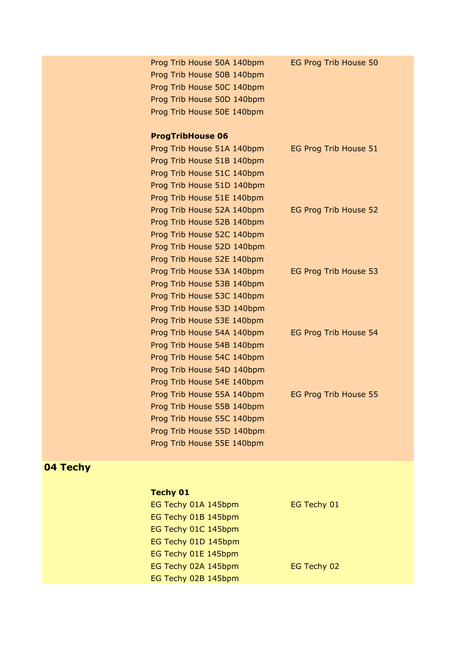| Prog Trib House 50A 140bpm<br>Prog Trib House 50B 140bpm<br>Prog Trib House 50C 140bpm<br>Prog Trib House 50D 140bpm<br>Prog Trib House 50E 140bpm | EG Prog Trib House 50 |
|----------------------------------------------------------------------------------------------------------------------------------------------------|-----------------------|
| <b>ProgTribHouse 06</b>                                                                                                                            |                       |
| Prog Trib House 51A 140bpm                                                                                                                         | EG Prog Trib House 51 |
| Prog Trib House 51B 140bpm                                                                                                                         |                       |
| Prog Trib House 51C 140bpm                                                                                                                         |                       |
| Prog Trib House 51D 140bpm                                                                                                                         |                       |
| Prog Trib House 51E 140bpm                                                                                                                         |                       |
| Prog Trib House 52A 140bpm                                                                                                                         | EG Prog Trib House 52 |
| Prog Trib House 52B 140bpm                                                                                                                         |                       |
| Prog Trib House 52C 140bpm                                                                                                                         |                       |
| Prog Trib House 52D 140bpm                                                                                                                         |                       |
| Prog Trib House 52E 140bpm                                                                                                                         |                       |
| Prog Trib House 53A 140bpm                                                                                                                         | EG Prog Trib House 53 |
| Prog Trib House 53B 140bpm                                                                                                                         |                       |
| Prog Trib House 53C 140bpm                                                                                                                         |                       |
| Prog Trib House 53D 140bpm<br>Prog Trib House 53E 140bpm                                                                                           |                       |
| Prog Trib House 54A 140bpm                                                                                                                         | EG Prog Trib House 54 |
| Prog Trib House 54B 140bpm                                                                                                                         |                       |
| Prog Trib House 54C 140bpm                                                                                                                         |                       |
| Prog Trib House 54D 140bpm                                                                                                                         |                       |
| Prog Trib House 54E 140bpm                                                                                                                         |                       |
| Prog Trib House 55A 140bpm                                                                                                                         | EG Prog Trib House 55 |
| Prog Trib House 55B 140bpm                                                                                                                         |                       |
| Prog Trib House 55C 140bpm                                                                                                                         |                       |
| Prog Trib House 55D 140bpm                                                                                                                         |                       |
| Prog Trib House 55E 140bpm                                                                                                                         |                       |
|                                                                                                                                                    |                       |

# **04 Techy**

| <b>Techy 01</b> |                     |  |
|-----------------|---------------------|--|
|                 | EG Techy 01A 145bpm |  |
|                 | EG Techy 01B 145bpm |  |
|                 | EG Techy 01C 145bpm |  |
|                 | EG Techy 01D 145bpm |  |
|                 | EG Techy 01E 145bpm |  |
|                 | EG Techy 02A 145bpm |  |
|                 | EG Techy 02B 145bpm |  |

EG Techy 01

EG Techy 02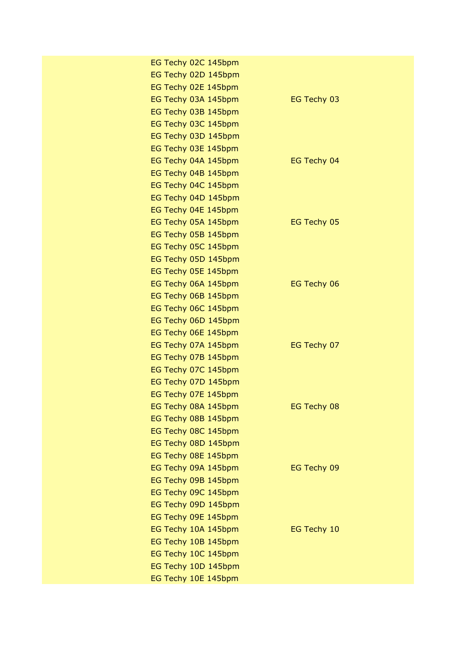| EG Techy 02C 145bpm |             |
|---------------------|-------------|
| EG Techy 02D 145bpm |             |
| EG Techy 02E 145bpm |             |
| EG Techy 03A 145bpm | EG Techy 03 |
| EG Techy 03B 145bpm |             |
| EG Techy 03C 145bpm |             |
| EG Techy 03D 145bpm |             |
| EG Techy 03E 145bpm |             |
| EG Techy 04A 145bpm | EG Techy 04 |
| EG Techy 04B 145bpm |             |
| EG Techy 04C 145bpm |             |
| EG Techy 04D 145bpm |             |
| EG Techy 04E 145bpm |             |
| EG Techy 05A 145bpm | EG Techy 05 |
| EG Techy 05B 145bpm |             |
| EG Techy 05C 145bpm |             |
| EG Techy 05D 145bpm |             |
| EG Techy 05E 145bpm |             |
| EG Techy 06A 145bpm | EG Techy 06 |
| EG Techy 06B 145bpm |             |
| EG Techy 06C 145bpm |             |
| EG Techy 06D 145bpm |             |
| EG Techy 06E 145bpm |             |
| EG Techy 07A 145bpm | EG Techy 07 |
| EG Techy 07B 145bpm |             |
| EG Techy 07C 145bpm |             |
| EG Techy 07D 145bpm |             |
| EG Techy 07E 145bpm |             |
| EG Techy 08A 145bpm | EG Techy 08 |
| EG Techy 08B 145bpm |             |
| EG Techy 08C 145bpm |             |
| EG Techy 08D 145bpm |             |
| EG Techy 08E 145bpm |             |
| EG Techy 09A 145bpm | EG Techy 09 |
| EG Techy 09B 145bpm |             |
| EG Techy 09C 145bpm |             |
| EG Techy 09D 145bpm |             |
| EG Techy 09E 145bpm |             |
| EG Techy 10A 145bpm | EG Techy 10 |
| EG Techy 10B 145bpm |             |
| EG Techy 10C 145bpm |             |
| EG Techy 10D 145bpm |             |
| EG Techy 10E 145bpm |             |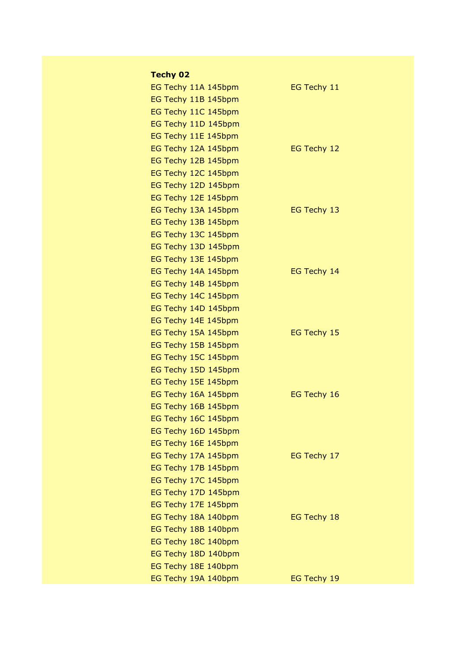| <b>Techy 02</b> |  |  |
|-----------------|--|--|
|-----------------|--|--|

| EG Techy 11A 145bpm | EG Techy 11 |
|---------------------|-------------|
| EG Techy 11B 145bpm |             |
| EG Techy 11C 145bpm |             |
| EG Techy 11D 145bpm |             |
| EG Techy 11E 145bpm |             |
| EG Techy 12A 145bpm | EG Techy 12 |
| EG Techy 12B 145bpm |             |
| EG Techy 12C 145bpm |             |
| EG Techy 12D 145bpm |             |
| EG Techy 12E 145bpm |             |
| EG Techy 13A 145bpm | EG Techy 13 |
| EG Techy 13B 145bpm |             |
| EG Techy 13C 145bpm |             |
| EG Techy 13D 145bpm |             |
| EG Techy 13E 145bpm |             |
| EG Techy 14A 145bpm | EG Techy 14 |
| EG Techy 14B 145bpm |             |
| EG Techy 14C 145bpm |             |
| EG Techy 14D 145bpm |             |
| EG Techy 14E 145bpm |             |
| EG Techy 15A 145bpm | EG Techy 15 |
| EG Techy 15B 145bpm |             |
| EG Techy 15C 145bpm |             |
| EG Techy 15D 145bpm |             |
| EG Techy 15E 145bpm |             |
| EG Techy 16A 145bpm | EG Techy 16 |
| EG Techy 16B 145bpm |             |
| EG Techy 16C 145bpm |             |
| EG Techy 16D 145bpm |             |
| EG Techy 16E 145bpm |             |
| EG Techy 17A 145bpm | EG Techy 17 |
| EG Techy 17B 145bpm |             |
| EG Techy 17C 145bpm |             |
| EG Techy 17D 145bpm |             |
| EG Techy 17E 145bpm |             |
| EG Techy 18A 140bpm | EG Techy 18 |
| EG Techy 18B 140bpm |             |
| EG Techy 18C 140bpm |             |
| EG Techy 18D 140bpm |             |
| EG Techy 18E 140bpm |             |
| EG Techy 19A 140bpm | EG Techy 19 |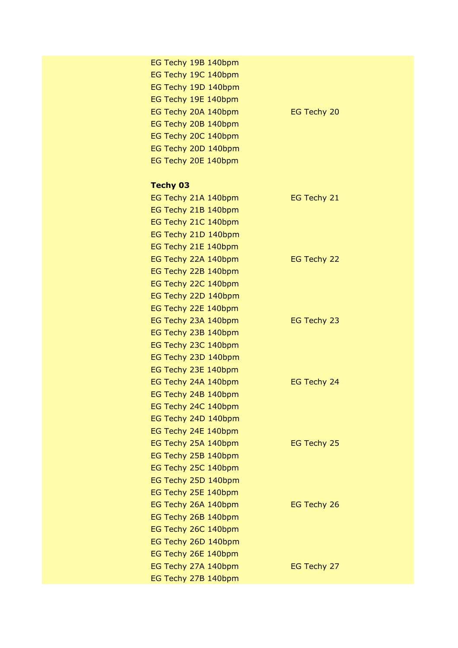| EG Techy 19B 140bpm |             |
|---------------------|-------------|
| EG Techy 19C 140bpm |             |
| EG Techy 19D 140bpm |             |
| EG Techy 19E 140bpm |             |
| EG Techy 20A 140bpm | EG Techy 20 |
| EG Techy 20B 140bpm |             |
| EG Techy 20C 140bpm |             |
| EG Techy 20D 140bpm |             |
| EG Techy 20E 140bpm |             |
|                     |             |
| <b>Techy 03</b>     |             |
| EG Techy 21A 140bpm | EG Techy 21 |
| EG Techy 21B 140bpm |             |
| EG Techy 21C 140bpm |             |
| EG Techy 21D 140bpm |             |
| EG Techy 21E 140bpm |             |
| EG Techy 22A 140bpm | EG Techy 22 |
| EG Techy 22B 140bpm |             |
| EG Techy 22C 140bpm |             |
| EG Techy 22D 140bpm |             |
| EG Techy 22E 140bpm |             |
| EG Techy 23A 140bpm | EG Techy 23 |
| EG Techy 23B 140bpm |             |
| EG Techy 23C 140bpm |             |
| EG Techy 23D 140bpm |             |
| EG Techy 23E 140bpm |             |
| EG Techy 24A 140bpm | EG Techy 24 |
| EG Techy 24B 140bpm |             |
| EG Techy 24C 140bpm |             |
| EG Techy 24D 140bpm |             |
| EG Techy 24E 140bpm |             |
| EG Techy 25A 140bpm | EG Techy 25 |
| EG Techy 25B 140bpm |             |
| EG Techy 25C 140bpm |             |
| EG Techy 25D 140bpm |             |
| EG Techy 25E 140bpm |             |
| EG Techy 26A 140bpm | EG Techy 26 |
| EG Techy 26B 140bpm |             |
| EG Techy 26C 140bpm |             |
| EG Techy 26D 140bpm |             |
| EG Techy 26E 140bpm |             |
| EG Techy 27A 140bpm | EG Techy 27 |
| EG Techy 27B 140bpm |             |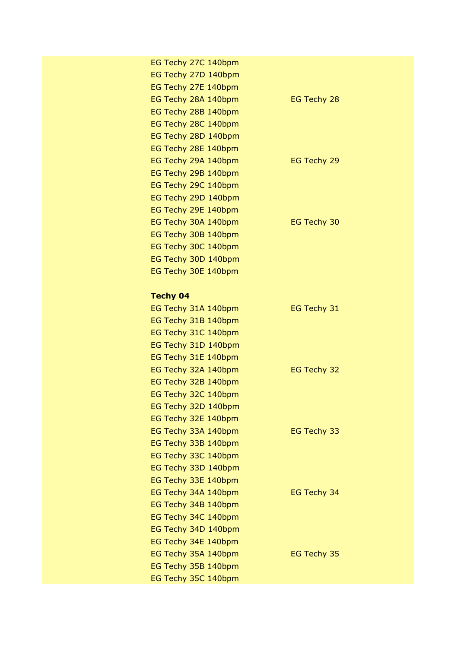| EG Techy 27C 140bpm |             |
|---------------------|-------------|
| EG Techy 27D 140bpm |             |
| EG Techy 27E 140bpm |             |
| EG Techy 28A 140bpm | EG Techy 28 |
| EG Techy 28B 140bpm |             |
| EG Techy 28C 140bpm |             |
| EG Techy 28D 140bpm |             |
| EG Techy 28E 140bpm |             |
| EG Techy 29A 140bpm | EG Techy 29 |
| EG Techy 29B 140bpm |             |
| EG Techy 29C 140bpm |             |
| EG Techy 29D 140bpm |             |
| EG Techy 29E 140bpm |             |
| EG Techy 30A 140bpm | EG Techy 30 |
| EG Techy 30B 140bpm |             |
| EG Techy 30C 140bpm |             |
| EG Techy 30D 140bpm |             |
| EG Techy 30E 140bpm |             |
|                     |             |
| <b>Techy 04</b>     |             |
| EG Techy 31A 140bpm | EG Techy 31 |
| EG Techy 31B 140bpm |             |
| EG Techy 31C 140bpm |             |
| EG Techy 31D 140bpm |             |
| EG Techy 31E 140bpm |             |
| EG Techy 32A 140bpm | EG Techy 32 |
| EG Techy 32B 140bpm |             |
| EG Techy 32C 140bpm |             |
| EG Techy 32D 140bpm |             |
| EG Techy 32E 140bpm |             |
| EG Techy 33A 140bpm | EG Techy 33 |
| EG Techy 33B 140bpm |             |
| EG Techy 33C 140bpm |             |
| EG Techy 33D 140bpm |             |
| EG Techy 33E 140bpm |             |
| EG Techy 34A 140bpm | EG Techy 34 |
| EG Techy 34B 140bpm |             |
| EG Techy 34C 140bpm |             |
| EG Techy 34D 140bpm |             |
| EG Techy 34E 140bpm |             |
| EG Techy 35A 140bpm | EG Techy 35 |
| EG Techy 35B 140bpm |             |
| EG Techy 35C 140bpm |             |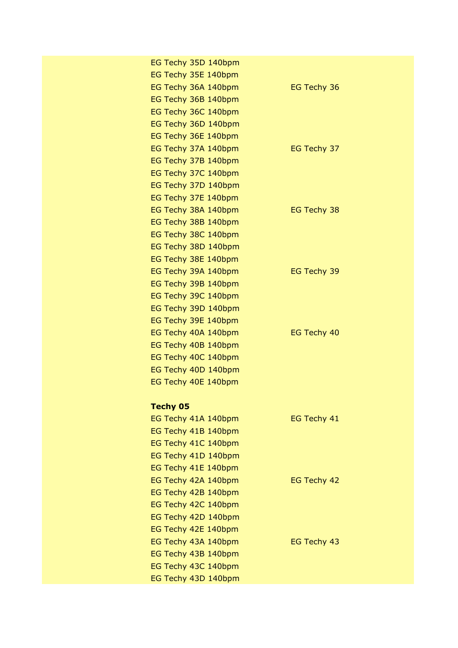| EG Techy 35D 140bpm |             |
|---------------------|-------------|
| EG Techy 35E 140bpm |             |
| EG Techy 36A 140bpm | EG Techy 36 |
| EG Techy 36B 140bpm |             |
| EG Techy 36C 140bpm |             |
| EG Techy 36D 140bpm |             |
| EG Techy 36E 140bpm |             |
| EG Techy 37A 140bpm | EG Techy 37 |
| EG Techy 37B 140bpm |             |
| EG Techy 37C 140bpm |             |
| EG Techy 37D 140bpm |             |
| EG Techy 37E 140bpm |             |
| EG Techy 38A 140bpm | EG Techy 38 |
| EG Techy 38B 140bpm |             |
| EG Techy 38C 140bpm |             |
| EG Techy 38D 140bpm |             |
| EG Techy 38E 140bpm |             |
| EG Techy 39A 140bpm | EG Techy 39 |
| EG Techy 39B 140bpm |             |
| EG Techy 39C 140bpm |             |
| EG Techy 39D 140bpm |             |
| EG Techy 39E 140bpm |             |
| EG Techy 40A 140bpm | EG Techy 40 |
| EG Techy 40B 140bpm |             |
| EG Techy 40C 140bpm |             |
| EG Techy 40D 140bpm |             |
| EG Techy 40E 140bpm |             |
|                     |             |
| <b>Techy 05</b>     |             |
| EG Techy 41A 140bpm | EG Techy 41 |
| EG Techy 41B 140bpm |             |
| EG Techy 41C 140bpm |             |
| EG Techy 41D 140bpm |             |
| EG Techy 41E 140bpm |             |
| EG Techy 42A 140bpm | EG Techy 42 |
| EG Techy 42B 140bpm |             |
| EG Techy 42C 140bpm |             |
| EG Techy 42D 140bpm |             |
| EG Techy 42E 140bpm |             |
| EG Techy 43A 140bpm | EG Techy 43 |
| EG Techy 43B 140bpm |             |
| EG Techy 43C 140bpm |             |
| EG Techy 43D 140bpm |             |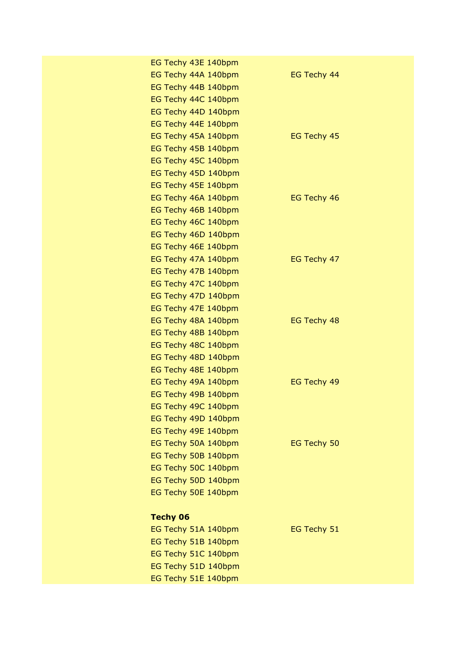| EG Techy 43E 140bpm |                    |
|---------------------|--------------------|
| EG Techy 44A 140bpm | EG Techy 44        |
| EG Techy 44B 140bpm |                    |
| EG Techy 44C 140bpm |                    |
| EG Techy 44D 140bpm |                    |
| EG Techy 44E 140bpm |                    |
| EG Techy 45A 140bpm | EG Techy 45        |
| EG Techy 45B 140bpm |                    |
| EG Techy 45C 140bpm |                    |
| EG Techy 45D 140bpm |                    |
| EG Techy 45E 140bpm |                    |
| EG Techy 46A 140bpm | <b>EG Techy 46</b> |
| EG Techy 46B 140bpm |                    |
| EG Techy 46C 140bpm |                    |
| EG Techy 46D 140bpm |                    |
| EG Techy 46E 140bpm |                    |
| EG Techy 47A 140bpm | EG Techy 47        |
| EG Techy 47B 140bpm |                    |
| EG Techy 47C 140bpm |                    |
| EG Techy 47D 140bpm |                    |
| EG Techy 47E 140bpm |                    |
| EG Techy 48A 140bpm | EG Techy 48        |
| EG Techy 48B 140bpm |                    |
| EG Techy 48C 140bpm |                    |
| EG Techy 48D 140bpm |                    |
| EG Techy 48E 140bpm |                    |
| EG Techy 49A 140bpm | EG Techy 49        |
| EG Techy 49B 140bpm |                    |
| EG Techy 49C 140bpm |                    |
| EG Techy 49D 140bpm |                    |
| EG Techy 49E 140bpm |                    |
| EG Techy 50A 140bpm | EG Techy 50        |
| EG Techy 50B 140bpm |                    |
| EG Techy 50C 140bpm |                    |
| EG Techy 50D 140bpm |                    |
| EG Techy 50E 140bpm |                    |
|                     |                    |
| <b>Techy 06</b>     |                    |
| EG Techy 51A 140bpm | EG Techy 51        |
| EG Techy 51B 140bpm |                    |
| EG Techy 51C 140bpm |                    |
| EG Techy 51D 140bpm |                    |
| EG Techy 51E 140bpm |                    |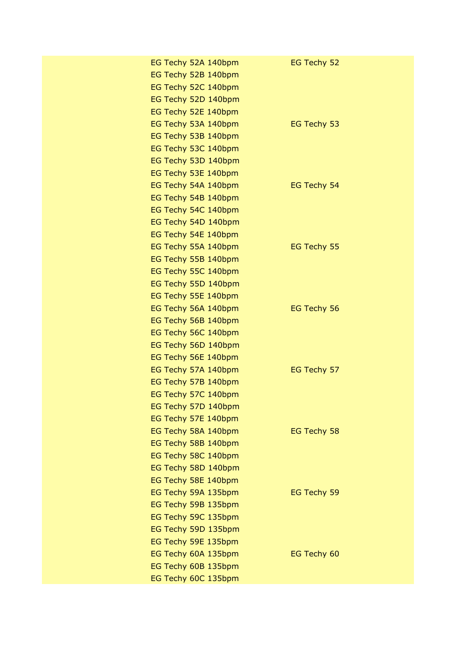| EG Techy 52A 140bpm | EG Techy 52 |
|---------------------|-------------|
| EG Techy 52B 140bpm |             |
| EG Techy 52C 140bpm |             |
| EG Techy 52D 140bpm |             |
| EG Techy 52E 140bpm |             |
| EG Techy 53A 140bpm | EG Techy 53 |
| EG Techy 53B 140bpm |             |
| EG Techy 53C 140bpm |             |
| EG Techy 53D 140bpm |             |
| EG Techy 53E 140bpm |             |
| EG Techy 54A 140bpm | EG Techy 54 |
| EG Techy 54B 140bpm |             |
| EG Techy 54C 140bpm |             |
| EG Techy 54D 140bpm |             |
| EG Techy 54E 140bpm |             |
| EG Techy 55A 140bpm | EG Techy 55 |
| EG Techy 55B 140bpm |             |
| EG Techy 55C 140bpm |             |
| EG Techy 55D 140bpm |             |
| EG Techy 55E 140bpm |             |
| EG Techy 56A 140bpm | EG Techy 56 |
| EG Techy 56B 140bpm |             |
| EG Techy 56C 140bpm |             |
| EG Techy 56D 140bpm |             |
| EG Techy 56E 140bpm |             |
| EG Techy 57A 140bpm | EG Techy 57 |
| EG Techy 57B 140bpm |             |
| EG Techy 57C 140bpm |             |
| EG Techy 57D 140bpm |             |
| EG Techy 57E 140bpm |             |
| EG Techy 58A 140bpm | EG Techy 58 |
| EG Techy 58B 140bpm |             |
| EG Techy 58C 140bpm |             |
| EG Techy 58D 140bpm |             |
| EG Techy 58E 140bpm |             |
| EG Techy 59A 135bpm | EG Techy 59 |
| EG Techy 59B 135bpm |             |
| EG Techy 59C 135bpm |             |
| EG Techy 59D 135bpm |             |
| EG Techy 59E 135bpm |             |
| EG Techy 60A 135bpm | EG Techy 60 |
| EG Techy 60B 135bpm |             |
| EG Techy 60C 135bpm |             |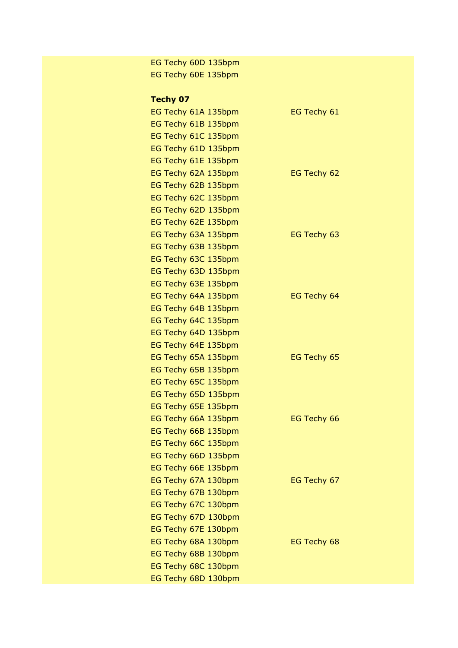EG Techy 60D 135bpm EG Techy 60E 135bpm

### **Techy 07**

| EG Techy 61A 135bpm | EG Techy 61 |  |
|---------------------|-------------|--|
| EG Techy 61B 135bpm |             |  |
| EG Techy 61C 135bpm |             |  |
| EG Techy 61D 135bpm |             |  |
| EG Techy 61E 135bpm |             |  |
| EG Techy 62A 135bpm | EG Techy 62 |  |
| EG Techy 62B 135bpm |             |  |
| EG Techy 62C 135bpm |             |  |
| EG Techy 62D 135bpm |             |  |
| EG Techy 62E 135bpm |             |  |
| EG Techy 63A 135bpm | EG Techy 63 |  |
| EG Techy 63B 135bpm |             |  |
| EG Techy 63C 135bpm |             |  |
| EG Techy 63D 135bpm |             |  |
| EG Techy 63E 135bpm |             |  |
| EG Techy 64A 135bpm | EG Techy 64 |  |
| EG Techy 64B 135bpm |             |  |
| EG Techy 64C 135bpm |             |  |
| EG Techy 64D 135bpm |             |  |
| EG Techy 64E 135bpm |             |  |
| EG Techy 65A 135bpm | EG Techy 65 |  |
| EG Techy 65B 135bpm |             |  |
| EG Techy 65C 135bpm |             |  |
| EG Techy 65D 135bpm |             |  |
| EG Techy 65E 135bpm |             |  |
| EG Techy 66A 135bpm | EG Techy 66 |  |
| EG Techy 66B 135bpm |             |  |
| EG Techy 66C 135bpm |             |  |
| EG Techy 66D 135bpm |             |  |
| EG Techy 66E 135bpm |             |  |
| EG Techy 67A 130bpm | EG Techy 67 |  |
| EG Techy 67B 130bpm |             |  |
| EG Techy 67C 130bpm |             |  |
| EG Techy 67D 130bpm |             |  |
| EG Techy 67E 130bpm |             |  |
| EG Techy 68A 130bpm | EG Techy 68 |  |
| EG Techy 68B 130bpm |             |  |
| EG Techy 68C 130bpm |             |  |
| EG Techy 68D 130bpm |             |  |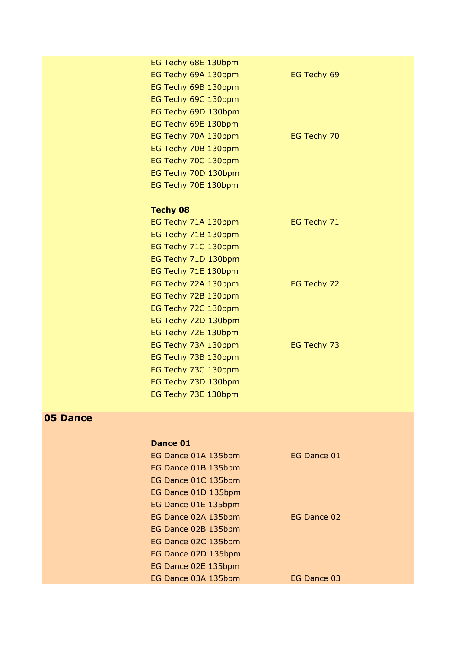| EG Techy 68E 130bpm |             |
|---------------------|-------------|
| EG Techy 69A 130bpm | EG Techy 69 |
| EG Techy 69B 130bpm |             |
| EG Techy 69C 130bpm |             |
| EG Techy 69D 130bpm |             |
| EG Techy 69E 130bpm |             |
| EG Techy 70A 130bpm | EG Techy 70 |
| EG Techy 70B 130bpm |             |
| EG Techy 70C 130bpm |             |
| EG Techy 70D 130bpm |             |
| EG Techy 70E 130bpm |             |
|                     |             |
| <b>Techy 08</b>     |             |
| EG Techy 71A 130bpm | EG Techy 71 |
| EG Techy 71B 130bpm |             |
| EG Techy 71C 130bpm |             |
| EG Techy 71D 130bpm |             |
| EG Techy 71E 130bpm |             |
| EG Techy 72A 130bpm | EG Techy 72 |
| EG Techy 72B 130bpm |             |
| EG Techy 72C 130bpm |             |
| EG Techy 72D 130bpm |             |
| EG Techy 72E 130bpm |             |
| EG Techy 73A 130bpm | EG Techy 73 |
| EG Techy 73B 130bpm |             |
| EG Techy 73C 130bpm |             |
| EG Techy 73D 130bpm |             |
| EG Techy 73E 130bpm |             |
|                     |             |

### **05 Dance**

| Dance 01 |                                                                                                                                                                                                                                                           |
|----------|-----------------------------------------------------------------------------------------------------------------------------------------------------------------------------------------------------------------------------------------------------------|
|          | EG Dance 01                                                                                                                                                                                                                                               |
|          |                                                                                                                                                                                                                                                           |
|          |                                                                                                                                                                                                                                                           |
|          |                                                                                                                                                                                                                                                           |
|          |                                                                                                                                                                                                                                                           |
|          | EG Dance 02                                                                                                                                                                                                                                               |
|          |                                                                                                                                                                                                                                                           |
|          |                                                                                                                                                                                                                                                           |
|          |                                                                                                                                                                                                                                                           |
|          |                                                                                                                                                                                                                                                           |
|          | EG Dance 03                                                                                                                                                                                                                                               |
|          | EG Dance 01A 135bpm<br>EG Dance 01B 135bpm<br>EG Dance 01C 135bpm<br>EG Dance 01D 135bpm<br>EG Dance 01E 135bpm<br>EG Dance 02A 135bpm<br>EG Dance 02B 135bpm<br>EG Dance 02C 135bpm<br>EG Dance 02D 135bpm<br>EG Dance 02E 135bpm<br>EG Dance 03A 135bpm |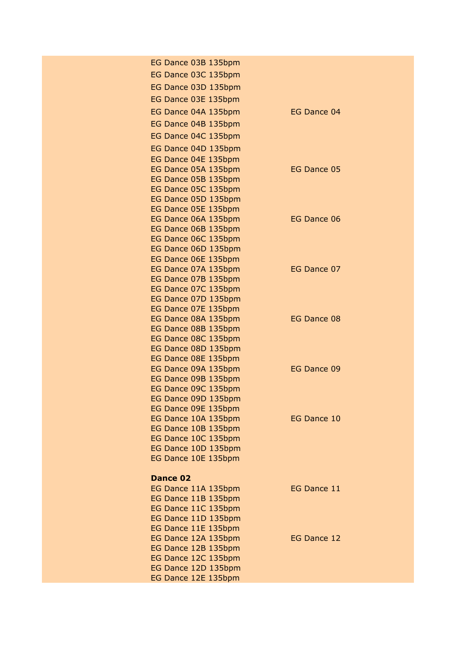| EG Dance 03B 135bpm                        |             |
|--------------------------------------------|-------------|
| EG Dance 03C 135bpm                        |             |
| EG Dance 03D 135bpm                        |             |
| EG Dance 03E 135bpm                        |             |
|                                            |             |
| EG Dance 04A 135bpm                        | EG Dance 04 |
| EG Dance 04B 135bpm                        |             |
| EG Dance 04C 135bpm                        |             |
| EG Dance 04D 135bpm                        |             |
| EG Dance 04E 135bpm                        |             |
| EG Dance 05A 135bpm                        | EG Dance 05 |
| EG Dance 05B 135bpm                        |             |
| EG Dance 05C 135bpm                        |             |
| EG Dance 05D 135bpm                        |             |
| EG Dance 05E 135bpm                        |             |
| EG Dance 06A 135bpm                        | EG Dance 06 |
| EG Dance 06B 135bpm                        |             |
| EG Dance 06C 135bpm                        |             |
| EG Dance 06D 135bpm<br>EG Dance 06E 135bpm |             |
| EG Dance 07A 135bpm                        | EG Dance 07 |
| EG Dance 07B 135bpm                        |             |
| EG Dance 07C 135bpm                        |             |
| EG Dance 07D 135bpm                        |             |
| EG Dance 07E 135bpm                        |             |
| EG Dance 08A 135bpm                        | EG Dance 08 |
| EG Dance 08B 135bpm                        |             |
| EG Dance 08C 135bpm                        |             |
| EG Dance 08D 135bpm                        |             |
| EG Dance 08E 135bpm                        |             |
| EG Dance 09A 135bpm                        | EG Dance 09 |
| EG Dance 09B 135bpm                        |             |
| EG Dance 09C 135bpm                        |             |
| EG Dance 09D 135bpm<br>EG Dance 09E 135bpm |             |
| EG Dance 10A 135bpm                        | EG Dance 10 |
| EG Dance 10B 135bpm                        |             |
| EG Dance 10C 135bpm                        |             |
| EG Dance 10D 135bpm                        |             |
| EG Dance 10E 135bpm                        |             |
|                                            |             |
| Dance 02                                   |             |
| EG Dance 11A 135bpm                        | EG Dance 11 |
| EG Dance 11B 135bpm                        |             |
| EG Dance 11C 135bpm                        |             |
| EG Dance 11D 135bpm                        |             |
| EG Dance 11E 135bpm<br>EG Dance 12A 135bpm | EG Dance 12 |
| EG Dance 12B 135bpm                        |             |
| EG Dance 12C 135bpm                        |             |
| EG Dance 12D 135bpm                        |             |
| EG Dance 12E 135bpm                        |             |
|                                            |             |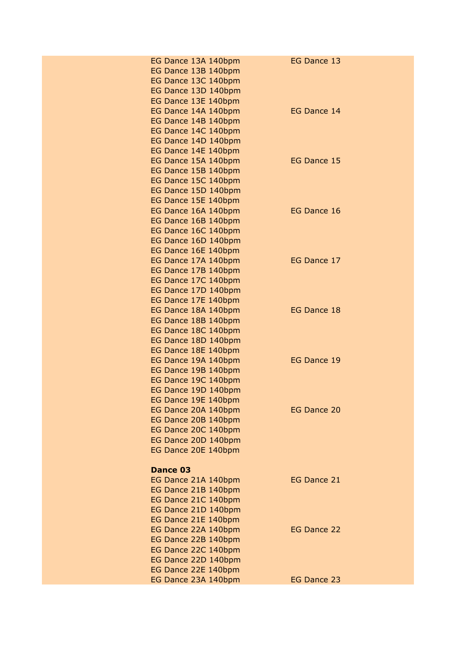| EG Dance 13A 140bpm | EG Dance 13        |
|---------------------|--------------------|
| EG Dance 13B 140bpm |                    |
|                     |                    |
| EG Dance 13C 140bpm |                    |
| EG Dance 13D 140bpm |                    |
| EG Dance 13E 140bpm |                    |
| EG Dance 14A 140bpm | EG Dance 14        |
|                     |                    |
| EG Dance 14B 140bpm |                    |
| EG Dance 14C 140bpm |                    |
| EG Dance 14D 140bpm |                    |
| EG Dance 14E 140bpm |                    |
| EG Dance 15A 140bpm | EG Dance 15        |
|                     |                    |
| EG Dance 15B 140bpm |                    |
| EG Dance 15C 140bpm |                    |
| EG Dance 15D 140bpm |                    |
| EG Dance 15E 140bpm |                    |
|                     |                    |
| EG Dance 16A 140bpm | EG Dance 16        |
| EG Dance 16B 140bpm |                    |
| EG Dance 16C 140bpm |                    |
| EG Dance 16D 140bpm |                    |
| EG Dance 16E 140bpm |                    |
|                     |                    |
| EG Dance 17A 140bpm | EG Dance 17        |
| EG Dance 17B 140bpm |                    |
| EG Dance 17C 140bpm |                    |
| EG Dance 17D 140bpm |                    |
|                     |                    |
| EG Dance 17E 140bpm |                    |
| EG Dance 18A 140bpm | EG Dance 18        |
| EG Dance 18B 140bpm |                    |
| EG Dance 18C 140bpm |                    |
| EG Dance 18D 140bpm |                    |
|                     |                    |
| EG Dance 18E 140bpm |                    |
| EG Dance 19A 140bpm | EG Dance 19        |
| EG Dance 19B 140bpm |                    |
| EG Dance 19C 140bpm |                    |
| EG Dance 19D 140bpm |                    |
|                     |                    |
| EG Dance 19E 140bpm |                    |
| EG Dance 20A 140bpm | <b>EG Dance 20</b> |
| EG Dance 20B 140bpm |                    |
| EG Dance 20C 140bpm |                    |
| EG Dance 20D 140bpm |                    |
|                     |                    |
| EG Dance 20E 140bpm |                    |
|                     |                    |
| Dance 03            |                    |
| EG Dance 21A 140bpm | EG Dance 21        |
| EG Dance 21B 140bpm |                    |
|                     |                    |
| EG Dance 21C 140bpm |                    |
| EG Dance 21D 140bpm |                    |
| EG Dance 21E 140bpm |                    |
| EG Dance 22A 140bpm | EG Dance 22        |
| EG Dance 22B 140bpm |                    |
|                     |                    |
| EG Dance 22C 140bpm |                    |
| EG Dance 22D 140bpm |                    |
| EG Dance 22E 140bpm |                    |
| EG Dance 23A 140bpm | EG Dance 23        |
|                     |                    |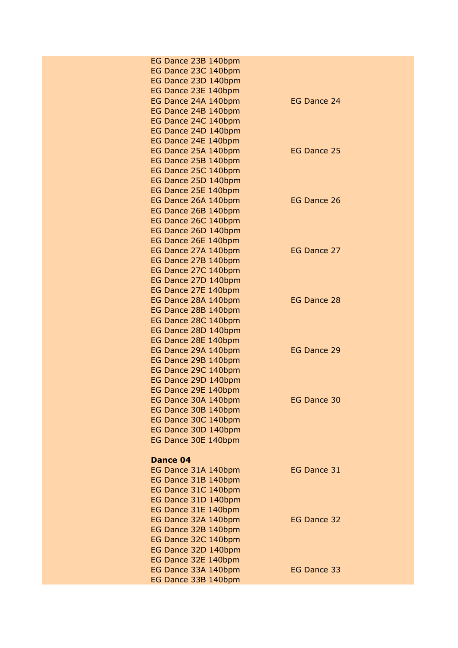| EG Dance 23B 140bpm |                    |
|---------------------|--------------------|
| EG Dance 23C 140bpm |                    |
| EG Dance 23D 140bpm |                    |
| EG Dance 23E 140bpm |                    |
| EG Dance 24A 140bpm | EG Dance 24        |
| EG Dance 24B 140bpm |                    |
| EG Dance 24C 140bpm |                    |
| EG Dance 24D 140bpm |                    |
| EG Dance 24E 140bpm |                    |
| EG Dance 25A 140bpm | EG Dance 25        |
| EG Dance 25B 140bpm |                    |
| EG Dance 25C 140bpm |                    |
| EG Dance 25D 140bpm |                    |
| EG Dance 25E 140bpm |                    |
| EG Dance 26A 140bpm | EG Dance 26        |
| EG Dance 26B 140bpm |                    |
|                     |                    |
| EG Dance 26C 140bpm |                    |
| EG Dance 26D 140bpm |                    |
| EG Dance 26E 140bpm |                    |
| EG Dance 27A 140bpm | EG Dance 27        |
| EG Dance 27B 140bpm |                    |
| EG Dance 27C 140bpm |                    |
| EG Dance 27D 140bpm |                    |
| EG Dance 27E 140bpm |                    |
| EG Dance 28A 140bpm | EG Dance 28        |
| EG Dance 28B 140bpm |                    |
| EG Dance 28C 140bpm |                    |
| EG Dance 28D 140bpm |                    |
| EG Dance 28E 140bpm |                    |
| EG Dance 29A 140bpm | EG Dance 29        |
| EG Dance 29B 140bpm |                    |
| EG Dance 29C 140bpm |                    |
| EG Dance 29D 140bpm |                    |
| EG Dance 29E 140bpm |                    |
| EG Dance 30A 140bpm | <b>EG Dance 30</b> |
| EG Dance 30B 140bpm |                    |
| EG Dance 30C 140bpm |                    |
| EG Dance 30D 140bpm |                    |
| EG Dance 30E 140bpm |                    |
|                     |                    |
| Dance 04            |                    |
| EG Dance 31A 140bpm | EG Dance 31        |
| EG Dance 31B 140bpm |                    |
| EG Dance 31C 140bpm |                    |
| EG Dance 31D 140bpm |                    |
| EG Dance 31E 140bpm |                    |
| EG Dance 32A 140bpm | EG Dance 32        |
| EG Dance 32B 140bpm |                    |
| EG Dance 32C 140bpm |                    |
| EG Dance 32D 140bpm |                    |
| EG Dance 32E 140bpm |                    |
| EG Dance 33A 140bpm | EG Dance 33        |
| EG Dance 33B 140bpm |                    |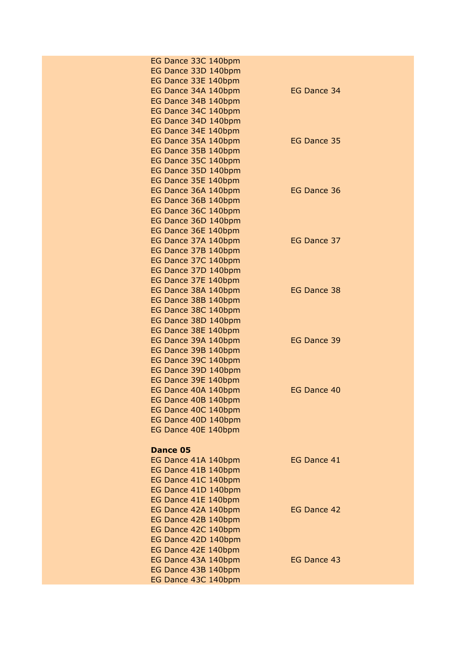| EG Dance 33C 140bpm |                    |
|---------------------|--------------------|
| EG Dance 33D 140bpm |                    |
| EG Dance 33E 140bpm |                    |
| EG Dance 34A 140bpm | EG Dance 34        |
| EG Dance 34B 140bpm |                    |
| EG Dance 34C 140bpm |                    |
| EG Dance 34D 140bpm |                    |
| EG Dance 34E 140bpm |                    |
| EG Dance 35A 140bpm | EG Dance 35        |
| EG Dance 35B 140bpm |                    |
|                     |                    |
| EG Dance 35C 140bpm |                    |
| EG Dance 35D 140bpm |                    |
| EG Dance 35E 140bpm |                    |
| EG Dance 36A 140bpm | EG Dance 36        |
| EG Dance 36B 140bpm |                    |
| EG Dance 36C 140bpm |                    |
| EG Dance 36D 140bpm |                    |
| EG Dance 36E 140bpm |                    |
| EG Dance 37A 140bpm | EG Dance 37        |
| EG Dance 37B 140bpm |                    |
| EG Dance 37C 140bpm |                    |
| EG Dance 37D 140bpm |                    |
| EG Dance 37E 140bpm |                    |
| EG Dance 38A 140bpm | <b>EG Dance 38</b> |
| EG Dance 38B 140bpm |                    |
| EG Dance 38C 140bpm |                    |
| EG Dance 38D 140bpm |                    |
| EG Dance 38E 140bpm |                    |
| EG Dance 39A 140bpm | EG Dance 39        |
| EG Dance 39B 140bpm |                    |
| EG Dance 39C 140bpm |                    |
| EG Dance 39D 140bpm |                    |
| EG Dance 39E 140bpm |                    |
| EG Dance 40A 140bpm | EG Dance 40        |
| EG Dance 40B 140bpm |                    |
| EG Dance 40C 140bpm |                    |
| EG Dance 40D 140bpm |                    |
| EG Dance 40E 140bpm |                    |
|                     |                    |
| Dance 05            |                    |
| EG Dance 41A 140bpm | EG Dance 41        |
| EG Dance 41B 140bpm |                    |
| EG Dance 41C 140bpm |                    |
| EG Dance 41D 140bpm |                    |
| EG Dance 41E 140bpm |                    |
| EG Dance 42A 140bpm | EG Dance 42        |
| EG Dance 42B 140bpm |                    |
| EG Dance 42C 140bpm |                    |
| EG Dance 42D 140bpm |                    |
| EG Dance 42E 140bpm |                    |
| EG Dance 43A 140bpm | <b>EG Dance 43</b> |
| EG Dance 43B 140bpm |                    |
| EG Dance 43C 140bpm |                    |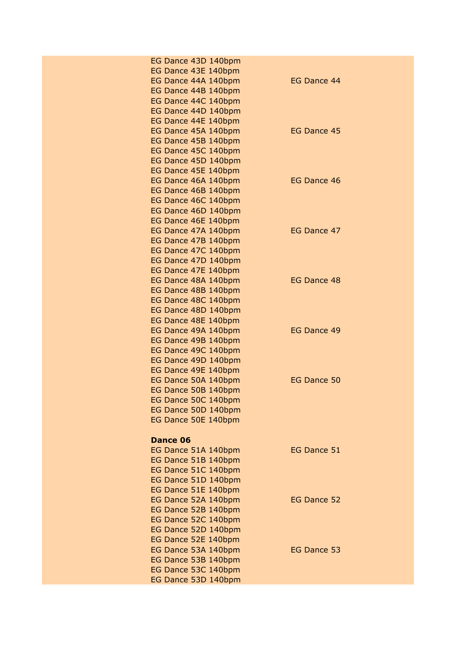| EG Dance 43D 140bpm |             |
|---------------------|-------------|
| EG Dance 43E 140bpm |             |
| EG Dance 44A 140bpm | EG Dance 44 |
| EG Dance 44B 140bpm |             |
| EG Dance 44C 140bpm |             |
| EG Dance 44D 140bpm |             |
| EG Dance 44E 140bpm |             |
| EG Dance 45A 140bpm | EG Dance 45 |
| EG Dance 45B 140bpm |             |
| EG Dance 45C 140bpm |             |
|                     |             |
| EG Dance 45D 140bpm |             |
| EG Dance 45E 140bpm |             |
| EG Dance 46A 140bpm | EG Dance 46 |
| EG Dance 46B 140bpm |             |
| EG Dance 46C 140bpm |             |
| EG Dance 46D 140bpm |             |
| EG Dance 46E 140bpm |             |
| EG Dance 47A 140bpm | EG Dance 47 |
| EG Dance 47B 140bpm |             |
| EG Dance 47C 140bpm |             |
| EG Dance 47D 140bpm |             |
| EG Dance 47E 140bpm |             |
| EG Dance 48A 140bpm | EG Dance 48 |
| EG Dance 48B 140bpm |             |
| EG Dance 48C 140bpm |             |
| EG Dance 48D 140bpm |             |
| EG Dance 48E 140bpm |             |
| EG Dance 49A 140bpm | EG Dance 49 |
| EG Dance 49B 140bpm |             |
| EG Dance 49C 140bpm |             |
| EG Dance 49D 140bpm |             |
| EG Dance 49E 140bpm |             |
| EG Dance 50A 140bpm | EG Dance 50 |
| EG Dance 50B 140bpm |             |
| EG Dance 50C 140bpm |             |
|                     |             |
| EG Dance 50D 140bpm |             |
| EG Dance 50E 140bpm |             |
|                     |             |
| Dance 06            |             |
| EG Dance 51A 140bpm | EG Dance 51 |
| EG Dance 51B 140bpm |             |
| EG Dance 51C 140bpm |             |
| EG Dance 51D 140bpm |             |
| EG Dance 51E 140bpm |             |
| EG Dance 52A 140bpm | EG Dance 52 |
| EG Dance 52B 140bpm |             |
| EG Dance 52C 140bpm |             |
| EG Dance 52D 140bpm |             |
| EG Dance 52E 140bpm |             |
| EG Dance 53A 140bpm | EG Dance 53 |
| EG Dance 53B 140bpm |             |
| EG Dance 53C 140bpm |             |
| EG Dance 53D 140bpm |             |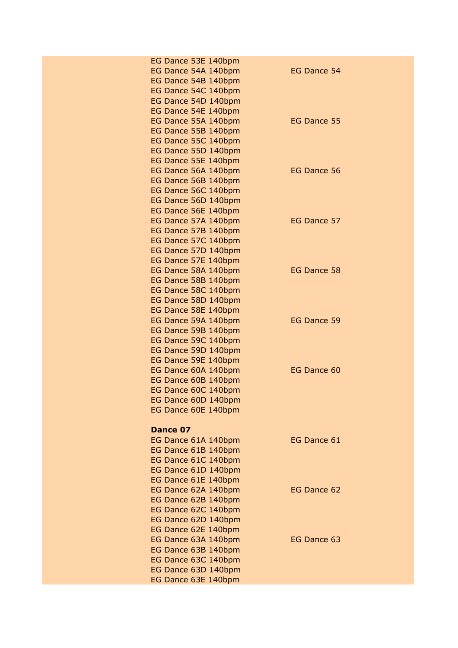| EG Dance 53E 140bpm |                    |
|---------------------|--------------------|
| EG Dance 54A 140bpm | EG Dance 54        |
| EG Dance 54B 140bpm |                    |
| EG Dance 54C 140bpm |                    |
| EG Dance 54D 140bpm |                    |
| EG Dance 54E 140bpm |                    |
| EG Dance 55A 140bpm | EG Dance 55        |
| EG Dance 55B 140bpm |                    |
| EG Dance 55C 140bpm |                    |
| EG Dance 55D 140bpm |                    |
| EG Dance 55E 140bpm |                    |
| EG Dance 56A 140bpm | <b>EG Dance 56</b> |
| EG Dance 56B 140bpm |                    |
| EG Dance 56C 140bpm |                    |
| EG Dance 56D 140bpm |                    |
| EG Dance 56E 140bpm |                    |
| EG Dance 57A 140bpm | EG Dance 57        |
| EG Dance 57B 140bpm |                    |
| EG Dance 57C 140bpm |                    |
| EG Dance 57D 140bpm |                    |
| EG Dance 57E 140bpm |                    |
| EG Dance 58A 140bpm | EG Dance 58        |
| EG Dance 58B 140bpm |                    |
| EG Dance 58C 140bpm |                    |
| EG Dance 58D 140bpm |                    |
| EG Dance 58E 140bpm |                    |
| EG Dance 59A 140bpm | EG Dance 59        |
| EG Dance 59B 140bpm |                    |
| EG Dance 59C 140bpm |                    |
| EG Dance 59D 140bpm |                    |
| EG Dance 59E 140bpm |                    |
| EG Dance 60A 140bpm | EG Dance 60        |
| EG Dance 60B 140bpm |                    |
| EG Dance 60C 140bpm |                    |
| EG Dance 60D 140bpm |                    |
| EG Dance 60E 140bpm |                    |
|                     |                    |
| Dance 07            |                    |
| EG Dance 61A 140bpm | EG Dance 61        |
| EG Dance 61B 140bpm |                    |
| EG Dance 61C 140bpm |                    |
| EG Dance 61D 140bpm |                    |
| EG Dance 61E 140bpm |                    |
| EG Dance 62A 140bpm | EG Dance 62        |
| EG Dance 62B 140bpm |                    |
| EG Dance 62C 140bpm |                    |
| EG Dance 62D 140bpm |                    |
| EG Dance 62E 140bpm |                    |
| EG Dance 63A 140bpm | EG Dance 63        |
| EG Dance 63B 140bpm |                    |
| EG Dance 63C 140bpm |                    |
| EG Dance 63D 140bpm |                    |
| EG Dance 63E 140bpm |                    |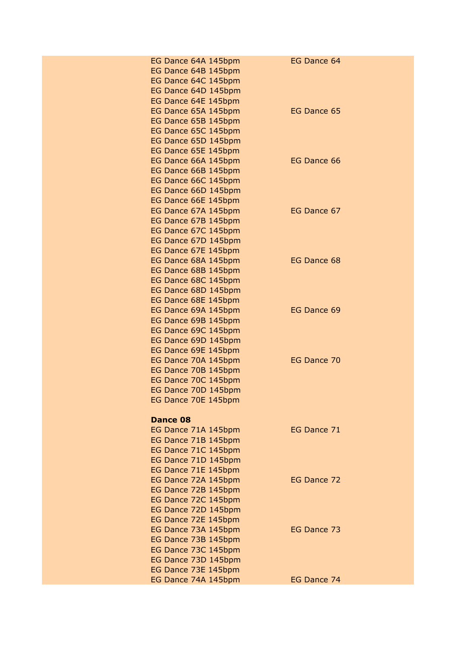| EG Dance 64A 145bpm | EG Dance 64        |
|---------------------|--------------------|
| EG Dance 64B 145bpm |                    |
| EG Dance 64C 145bpm |                    |
| EG Dance 64D 145bpm |                    |
| EG Dance 64E 145bpm |                    |
|                     |                    |
| EG Dance 65A 145bpm | EG Dance 65        |
| EG Dance 65B 145bpm |                    |
| EG Dance 65C 145bpm |                    |
| EG Dance 65D 145bpm |                    |
| EG Dance 65E 145bpm |                    |
| EG Dance 66A 145bpm | EG Dance 66        |
| EG Dance 66B 145bpm |                    |
| EG Dance 66C 145bpm |                    |
| EG Dance 66D 145bpm |                    |
| EG Dance 66E 145bpm |                    |
| EG Dance 67A 145bpm | EG Dance 67        |
| EG Dance 67B 145bpm |                    |
|                     |                    |
| EG Dance 67C 145bpm |                    |
| EG Dance 67D 145bpm |                    |
| EG Dance 67E 145bpm |                    |
| EG Dance 68A 145bpm | EG Dance 68        |
| EG Dance 68B 145bpm |                    |
| EG Dance 68C 145bpm |                    |
| EG Dance 68D 145bpm |                    |
| EG Dance 68E 145bpm |                    |
| EG Dance 69A 145bpm | EG Dance 69        |
| EG Dance 69B 145bpm |                    |
| EG Dance 69C 145bpm |                    |
| EG Dance 69D 145bpm |                    |
| EG Dance 69E 145bpm |                    |
| EG Dance 70A 145bpm | EG Dance 70        |
| EG Dance 70B 145bpm |                    |
|                     |                    |
| EG Dance 70C 145bpm |                    |
| EG Dance 70D 145bpm |                    |
| EG Dance 70E 145bpm |                    |
|                     |                    |
| Dance 08            |                    |
| EG Dance 71A 145bpm | EG Dance 71        |
| EG Dance 71B 145bpm |                    |
| EG Dance 71C 145bpm |                    |
| EG Dance 71D 145bpm |                    |
| EG Dance 71E 145bpm |                    |
| EG Dance 72A 145bpm | EG Dance 72        |
| EG Dance 72B 145bpm |                    |
| EG Dance 72C 145bpm |                    |
| EG Dance 72D 145bpm |                    |
| EG Dance 72E 145bpm |                    |
| EG Dance 73A 145bpm | <b>EG Dance 73</b> |
|                     |                    |
| EG Dance 73B 145bpm |                    |
| EG Dance 73C 145bpm |                    |
| EG Dance 73D 145bpm |                    |
| EG Dance 73E 145bpm |                    |
| EG Dance 74A 145bpm | EG Dance 74        |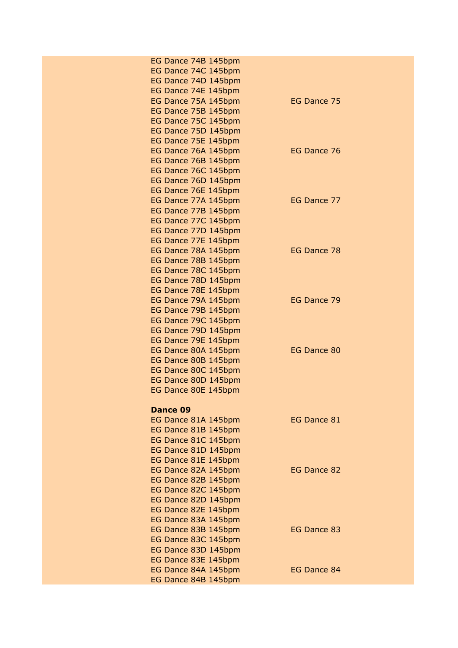| EG Dance 74B 145bpm |             |
|---------------------|-------------|
| EG Dance 74C 145bpm |             |
| EG Dance 74D 145bpm |             |
| EG Dance 74E 145bpm |             |
| EG Dance 75A 145bpm | EG Dance 75 |
| EG Dance 75B 145bpm |             |
| EG Dance 75C 145bpm |             |
| EG Dance 75D 145bpm |             |
| EG Dance 75E 145bpm |             |
| EG Dance 76A 145bpm | EG Dance 76 |
| EG Dance 76B 145bpm |             |
| EG Dance 76C 145bpm |             |
| EG Dance 76D 145bpm |             |
| EG Dance 76E 145bpm |             |
| EG Dance 77A 145bpm | EG Dance 77 |
| EG Dance 77B 145bpm |             |
|                     |             |
| EG Dance 77C 145bpm |             |
| EG Dance 77D 145bpm |             |
| EG Dance 77E 145bpm |             |
| EG Dance 78A 145bpm | EG Dance 78 |
| EG Dance 78B 145bpm |             |
| EG Dance 78C 145bpm |             |
| EG Dance 78D 145bpm |             |
| EG Dance 78E 145bpm |             |
| EG Dance 79A 145bpm | EG Dance 79 |
| EG Dance 79B 145bpm |             |
| EG Dance 79C 145bpm |             |
| EG Dance 79D 145bpm |             |
| EG Dance 79E 145bpm |             |
| EG Dance 80A 145bpm | EG Dance 80 |
| EG Dance 80B 145bpm |             |
| EG Dance 80C 145bpm |             |
| EG Dance 80D 145bpm |             |
| EG Dance 80E 145bpm |             |
|                     |             |
| Dance 09            |             |
| EG Dance 81A 145bpm | EG Dance 81 |
| EG Dance 81B 145bpm |             |
| EG Dance 81C 145bpm |             |
| EG Dance 81D 145bpm |             |
| EG Dance 81E 145bpm |             |
| EG Dance 82A 145bpm | EG Dance 82 |
| EG Dance 82B 145bpm |             |
| EG Dance 82C 145bpm |             |
| EG Dance 82D 145bpm |             |
| EG Dance 82E 145bpm |             |
| EG Dance 83A 145bpm |             |
| EG Dance 83B 145bpm | EG Dance 83 |
| EG Dance 83C 145bpm |             |
| EG Dance 83D 145bpm |             |
| EG Dance 83E 145bpm |             |
| EG Dance 84A 145bpm | EG Dance 84 |
| EG Dance 84B 145bpm |             |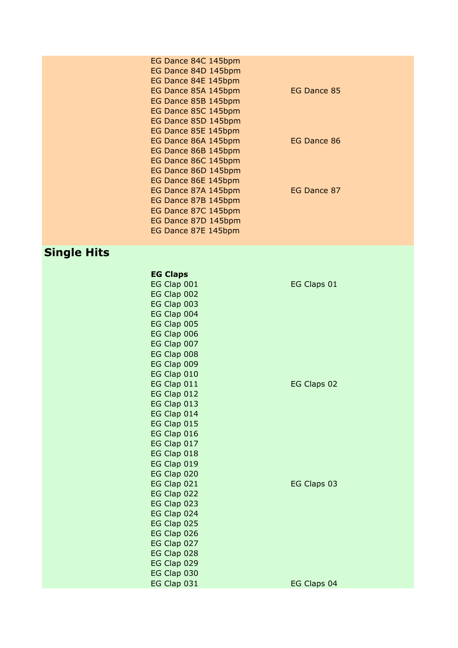| EG Dance 84C 145bpm |             |
|---------------------|-------------|
| EG Dance 84D 145bpm |             |
| EG Dance 84E 145bpm |             |
| EG Dance 85A 145bpm | EG Dance 85 |
| EG Dance 85B 145bpm |             |
| EG Dance 85C 145bpm |             |
| EG Dance 85D 145bpm |             |
| EG Dance 85E 145bpm |             |
| EG Dance 86A 145bpm | EG Dance 86 |
| EG Dance 86B 145bpm |             |
| EG Dance 86C 145bpm |             |
| EG Dance 86D 145bpm |             |
| EG Dance 86E 145bpm |             |
| EG Dance 87A 145bpm | EG Dance 87 |
| EG Dance 87B 145bpm |             |
| EG Dance 87C 145bpm |             |
| EG Dance 87D 145bpm |             |
| EG Dance 87E 145bpm |             |

# **Single Hits**

| <b>EG Claps</b> |             |
|-----------------|-------------|
| EG Clap 001     | EG Claps 01 |
| EG Clap 002     |             |
| EG Clap 003     |             |
| EG Clap 004     |             |
| EG Clap 005     |             |
| EG Clap 006     |             |
| EG Clap 007     |             |
| EG Clap 008     |             |
| EG Clap 009     |             |
| EG Clap 010     |             |
| EG Clap 011     | EG Claps 02 |
| EG Clap 012     |             |
| EG Clap 013     |             |
| EG Clap 014     |             |
| EG Clap 015     |             |
| EG Clap 016     |             |
| EG Clap 017     |             |
| EG Clap 018     |             |
| EG Clap 019     |             |
| EG Clap 020     |             |
| EG Clap 021     | EG Claps 03 |
| EG Clap 022     |             |
| EG Clap 023     |             |
| EG Clap 024     |             |
| EG Clap 025     |             |
| EG Clap 026     |             |
| EG Clap 027     |             |
| EG Clap 028     |             |
| EG Clap 029     |             |
| EG Clap 030     |             |
| EG Clap 031     | EG Claps 04 |
|                 |             |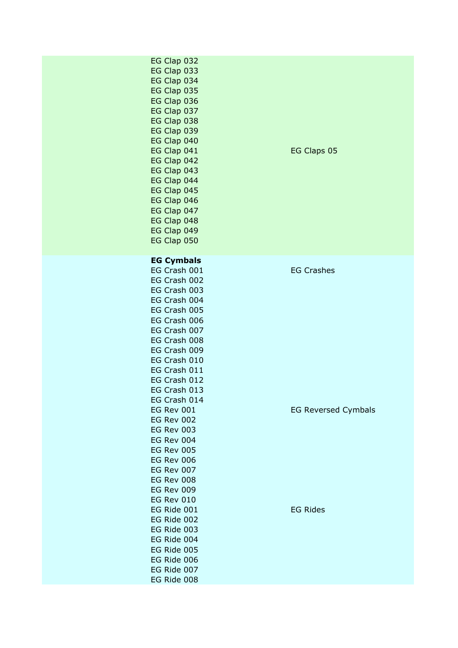| EG Clap 032<br>EG Clap 033<br>EG Clap 034<br>EG Clap 035<br>EG Clap 036<br>EG Clap 037<br>EG Clap 038<br>EG Clap 039<br>EG Clap 040<br>EG Clap 041<br>EG Clap 042<br>EG Clap 043<br>EG Clap 044<br>EG Clap 045<br>EG Clap 046<br>EG Clap 047<br>EG Clap 048<br>EG Clap 049<br>EG Clap 050 | EG Claps 05                                     |
|-------------------------------------------------------------------------------------------------------------------------------------------------------------------------------------------------------------------------------------------------------------------------------------------|-------------------------------------------------|
| <b>EG Cymbals</b><br>EG Crash 001<br>EG Crash 002<br>EG Crash 003<br>EG Crash 004<br>EG Crash 005<br>EG Crash 006<br>EG Crash 007<br>EG Crash 008<br>EG Crash 009<br>EG Crash 010<br>EG Crash 011<br>EG Crash 012<br>EG Crash 013<br>EG Crash 014<br>EG Rev 001<br><b>EG Rev 002</b>      | <b>EG Crashes</b><br><b>EG Reversed Cymbals</b> |
| <b>EG Rev 003</b><br>EG Rev 004<br><b>EG Rev 005</b><br><b>EG Rev 006</b><br><b>EG Rev 007</b><br>EG Rev 008<br><b>EG Rev 009</b><br>EG Rev 010<br>EG Ride 001<br>EG Ride 002<br>EG Ride 003<br>EG Ride 004<br>EG Ride 005<br>EG Ride 006<br>EG Ride 007<br>EG Ride 008                   | <b>EG Rides</b>                                 |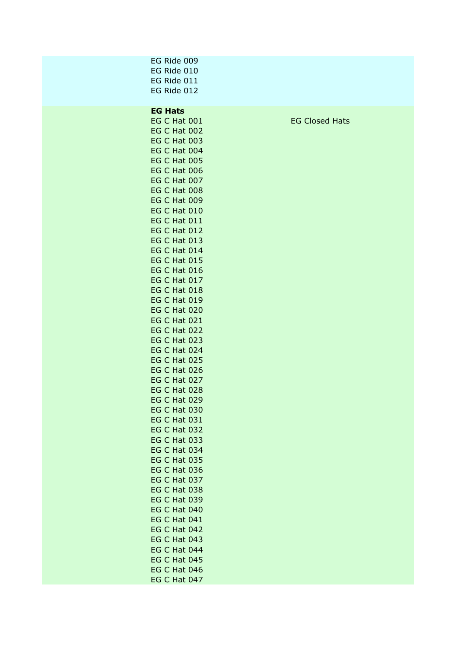| EG Ride 009<br>EG Ride 010<br>EG Ride 011                                                                                                                                                                                                                                         |                       |
|-----------------------------------------------------------------------------------------------------------------------------------------------------------------------------------------------------------------------------------------------------------------------------------|-----------------------|
| EG Ride 012                                                                                                                                                                                                                                                                       |                       |
| <b>EG Hats</b><br>EG C Hat 001<br>EG C Hat 002<br>EG C Hat 003<br>EG C Hat 004<br>EG C Hat 005<br>EG C Hat 006<br>EG C Hat 007<br>EG C Hat 008<br>EG C Hat 009<br>EG C Hat 010<br>EG C Hat 011<br>EG C Hat 012<br>EG C Hat 013<br>EG C Hat 014<br>EG C Hat 015                    | <b>EG Closed Hats</b> |
| EG C Hat 016<br>EG C Hat 017<br>EG C Hat 018<br>EG C Hat 019<br>EG C Hat 020<br>EG C Hat 021<br>EG C Hat 022<br>EG C Hat 023<br>EG C Hat 024<br><b>EG C Hat 025</b><br>EG C Hat 026<br>EG C Hat 027<br>EG C Hat 028<br><b>EG C Hat 029</b><br>EG C Hat 030<br>EG C Hat 031        |                       |
| EG C Hat 032<br><b>EG C Hat 033</b><br>EG C Hat 034<br><b>EG C Hat 035</b><br><b>EG C Hat 036</b><br>EG C Hat 037<br>EG C Hat 038<br>EG C Hat 039<br>EG C Hat 040<br>EG C Hat 041<br>EG C Hat 042<br>EG C Hat 043<br>EG C Hat 044<br>EG C Hat 045<br>EG C Hat 046<br>EG C Hat 047 |                       |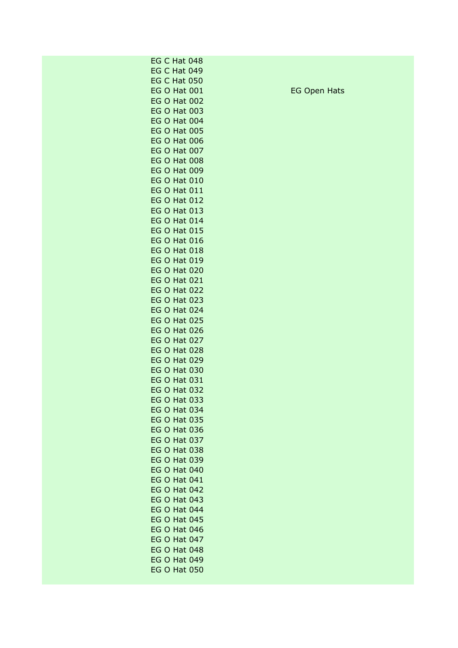| EG Open Hats |
|--------------|
|              |
|              |
|              |
|              |
|              |
|              |
|              |
|              |
|              |
|              |
|              |
|              |
|              |
|              |
|              |
|              |
|              |
|              |
|              |
|              |
|              |
|              |
|              |
|              |
|              |
|              |
|              |
|              |
|              |
|              |
|              |
|              |
|              |
|              |
|              |
|              |
|              |
|              |
|              |
|              |
|              |
|              |
|              |
|              |
|              |
|              |
|              |
|              |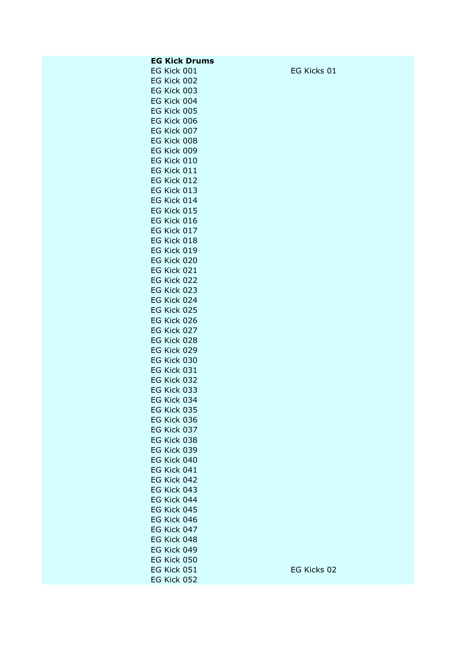| <b>EG Kick Drums</b>       |             |
|----------------------------|-------------|
| EG Kick 001                | EG Kicks 01 |
| EG Kick 002                |             |
| EG Kick 003                |             |
| EG Kick 004                |             |
| EG Kick 005                |             |
| EG Kick 006                |             |
| EG Kick 007                |             |
| EG Kick 008                |             |
| EG Kick 009                |             |
| EG Kick 010                |             |
| EG Kick 011                |             |
| EG Kick 012                |             |
| EG Kick 013                |             |
| EG Kick 014                |             |
| EG Kick 015                |             |
| EG Kick 016                |             |
| EG Kick 017                |             |
| EG Kick 018                |             |
| EG Kick 019                |             |
| EG Kick 020                |             |
| EG Kick 021                |             |
| EG Kick 022<br>EG Kick 023 |             |
| EG Kick 024                |             |
| EG Kick 025                |             |
| EG Kick 026                |             |
| EG Kick 027                |             |
| EG Kick 028                |             |
| EG Kick 029                |             |
| EG Kick 030                |             |
| EG Kick 031                |             |
| EG Kick 032                |             |
| EG Kick 033                |             |
| EG Kick 034                |             |
| EG Kick 035                |             |
| EG Kick 036                |             |
| EG Kick 037                |             |
| EG Kick 038                |             |
| EG Kick 039                |             |
| EG Kick 040                |             |
| EG Kick 041                |             |
| EG Kick 042                |             |
| EG Kick 043                |             |
| EG Kick 044                |             |
| EG Kick 045<br>EG Kick 046 |             |
| EG Kick 047                |             |
| EG Kick 048                |             |
| EG Kick 049                |             |
| EG Kick 050                |             |
| EG Kick 051                | EG Kicks 02 |
| EG Kick 052                |             |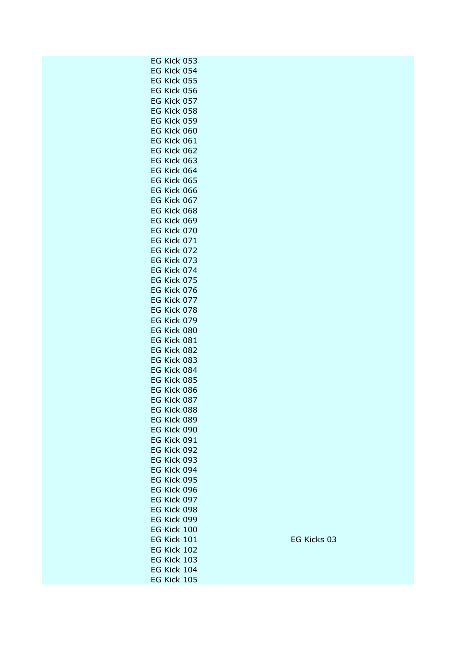| EG Kick 053 |             |
|-------------|-------------|
| EG Kick 054 |             |
| EG Kick 055 |             |
| EG Kick 056 |             |
| EG Kick 057 |             |
| EG Kick 058 |             |
| EG Kick 059 |             |
| EG Kick 060 |             |
| EG Kick 061 |             |
| EG Kick 062 |             |
| EG Kick 063 |             |
| EG Kick 064 |             |
| EG Kick 065 |             |
| EG Kick 066 |             |
| EG Kick 067 |             |
| EG Kick 068 |             |
| EG Kick 069 |             |
| EG Kick 070 |             |
| EG Kick 071 |             |
| EG Kick 072 |             |
| EG Kick 073 |             |
| EG Kick 074 |             |
| EG Kick 075 |             |
| EG Kick 076 |             |
| EG Kick 077 |             |
| EG Kick 078 |             |
| EG Kick 079 |             |
| EG Kick 080 |             |
| EG Kick 081 |             |
| EG Kick 082 |             |
| EG Kick 083 |             |
| EG Kick 084 |             |
| EG Kick 085 |             |
| EG Kick 086 |             |
| EG Kick 087 |             |
| EG Kick 088 |             |
| EG Kick 089 |             |
| EG Kick 090 |             |
| EG Kick 091 |             |
| EG Kick 092 |             |
| EG Kick 093 |             |
| EG Kick 094 |             |
| EG Kick 095 |             |
| EG Kick 096 |             |
| EG Kick 097 |             |
| EG Kick 098 |             |
| EG Kick 099 |             |
| EG Kick 100 |             |
| EG Kick 101 | EG Kicks 03 |
| EG Kick 102 |             |
| EG Kick 103 |             |
| EG Kick 104 |             |
| EG Kick 105 |             |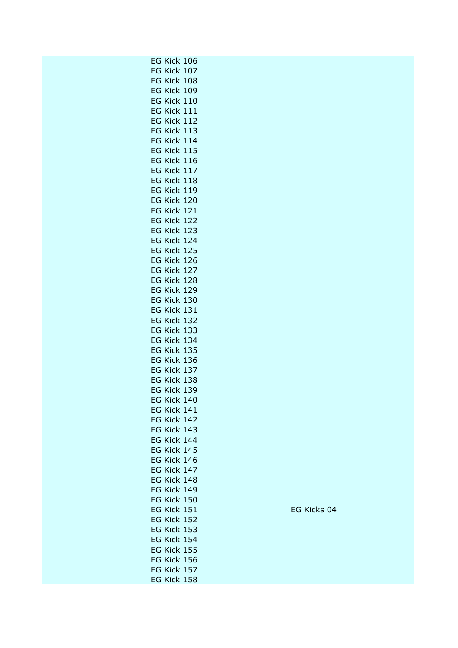| EG Kick 106 |             |
|-------------|-------------|
| EG Kick 107 |             |
| EG Kick 108 |             |
| EG Kick 109 |             |
| EG Kick 110 |             |
| EG Kick 111 |             |
| EG Kick 112 |             |
| EG Kick 113 |             |
|             |             |
| EG Kick 114 |             |
| EG Kick 115 |             |
| EG Kick 116 |             |
| EG Kick 117 |             |
| EG Kick 118 |             |
| EG Kick 119 |             |
| EG Kick 120 |             |
| EG Kick 121 |             |
|             |             |
| EG Kick 122 |             |
| EG Kick 123 |             |
| EG Kick 124 |             |
| EG Kick 125 |             |
| EG Kick 126 |             |
| EG Kick 127 |             |
| EG Kick 128 |             |
| EG Kick 129 |             |
|             |             |
| EG Kick 130 |             |
| EG Kick 131 |             |
| EG Kick 132 |             |
| EG Kick 133 |             |
| EG Kick 134 |             |
| EG Kick 135 |             |
| EG Kick 136 |             |
| EG Kick 137 |             |
| EG Kick 138 |             |
|             |             |
| EG Kick 139 |             |
| EG Kick 140 |             |
| EG Kick 141 |             |
| EG Kick 142 |             |
| EG Kick 143 |             |
| EG Kick 144 |             |
| EG Kick 145 |             |
| EG Kick 146 |             |
|             |             |
| EG Kick 147 |             |
| EG Kick 148 |             |
| EG Kick 149 |             |
| EG Kick 150 |             |
| EG Kick 151 | EG Kicks 04 |
| EG Kick 152 |             |
| EG Kick 153 |             |
| EG Kick 154 |             |
| EG Kick 155 |             |
|             |             |
| EG Kick 156 |             |
| EG Kick 157 |             |
| EG Kick 158 |             |
|             |             |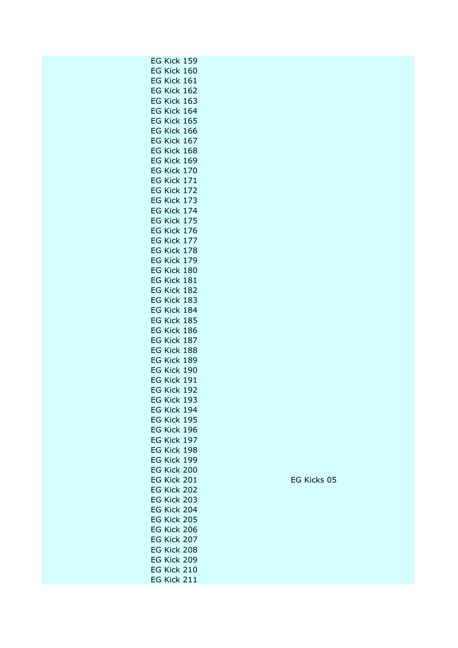| EG Kick 159                |             |
|----------------------------|-------------|
| EG Kick 160                |             |
| EG Kick 161                |             |
| EG Kick 162                |             |
| EG Kick 163                |             |
| EG Kick 164                |             |
| EG Kick 165                |             |
| EG Kick 166                |             |
| EG Kick 167                |             |
| EG Kick 168                |             |
| EG Kick 169                |             |
| EG Kick 170                |             |
| EG Kick 171                |             |
| EG Kick 172                |             |
| EG Kick 173                |             |
| EG Kick 174                |             |
| EG Kick 175                |             |
| EG Kick 176                |             |
| EG Kick 177                |             |
| EG Kick 178                |             |
| EG Kick 179                |             |
| EG Kick 180                |             |
| EG Kick 181                |             |
| EG Kick 182                |             |
|                            |             |
| EG Kick 183<br>EG Kick 184 |             |
| EG Kick 185                |             |
| EG Kick 186                |             |
| EG Kick 187                |             |
| EG Kick 188                |             |
| EG Kick 189                |             |
| EG Kick 190                |             |
| EG Kick 191                |             |
| EG Kick 192                |             |
| EG Kick 193                |             |
| EG Kick 194                |             |
| EG Kick 195                |             |
| EG Kick 196                |             |
| EG Kick 197                |             |
| EG Kick 198                |             |
| EG Kick 199                |             |
| EG Kick 200                |             |
| EG Kick 201                | EG Kicks 05 |
| EG Kick 202                |             |
| EG Kick 203                |             |
| EG Kick 204                |             |
| EG Kick 205                |             |
| EG Kick 206                |             |
| EG Kick 207                |             |
| EG Kick 208                |             |
| EG Kick 209                |             |
| EG Kick 210                |             |
| EG Kick 211                |             |
|                            |             |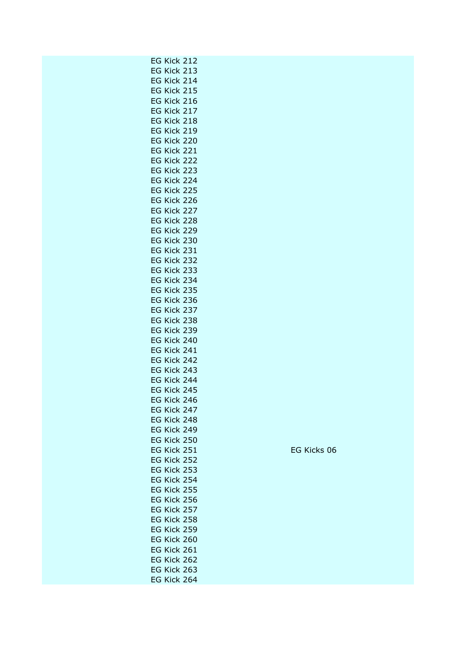|     | EG Kick 212     |                 |
|-----|-----------------|-----------------|
|     | EG Kick 213     |                 |
|     | EG Kick 214     |                 |
| EG  | Kick 215        |                 |
| EG  | <b>Kick 216</b> |                 |
| EG  | Kick 217        |                 |
| EG  |                 | <b>Kick 218</b> |
| EG  | <b>Kick 219</b> |                 |
| EG  | <b>Kick 220</b> |                 |
| EG. | <b>Kick 221</b> |                 |
| EG  | <b>Kick 222</b> |                 |
| EG  | <b>Kick 223</b> |                 |
| EG  |                 | <b>Kick 224</b> |
|     | EG Kick 225     |                 |
| EG  | <b>Kick 226</b> |                 |
| EG  | Kick 227        |                 |
| EG  |                 | Kick 228        |
| EG  |                 | <b>Kick 229</b> |
| EG  | <b>Kick 230</b> |                 |
| EG  | <b>Kick 231</b> |                 |
| EG  | <b>Kick 232</b> |                 |
| EG  | <b>Kick 233</b> |                 |
| EG  | Kick 234        |                 |
|     |                 |                 |
| EG  | <b>Kick 235</b> |                 |
| EG  | <b>Kick 236</b> |                 |
| EG  | <b>Kick 237</b> |                 |
| EG  |                 | <b>Kick 238</b> |
| EG. | <b>Kick 239</b> |                 |
| EG  | Kick 240        |                 |
| EG  | <b>Kick 241</b> |                 |
| EG  | <b>Kick 242</b> |                 |
| EG  | <b>Kick 243</b> |                 |
| EG  |                 | <b>Kick 244</b> |
|     | EG Kick 245     |                 |
| EG  | <b>Kick 246</b> |                 |
|     | EG Kick 247     |                 |
| EG  | <b>Kick 248</b> |                 |
| EG  | <b>Kick 249</b> |                 |
| EG  | <b>Kick 250</b> |                 |
| EG  | <b>Kick 251</b> |                 |
| EG  | <b>Kick 252</b> |                 |
| EG  | <b>Kick 253</b> |                 |
| EG  | Kick 254        |                 |
| EG  | <b>Kick 255</b> |                 |
| EG  | <b>Kick 256</b> |                 |
| EG  | <b>Kick 257</b> |                 |
| EG  | <b>Kick 258</b> |                 |
| EG  | <b>Kick 259</b> |                 |
| EG  | <b>Kick 260</b> |                 |
| EG  | <b>Kick 261</b> |                 |
| EG  | <b>Kick 262</b> |                 |
| EG  | <b>Kick 263</b> |                 |
| EG  | <b>Kick 264</b> |                 |
|     |                 |                 |

EG Kicks 06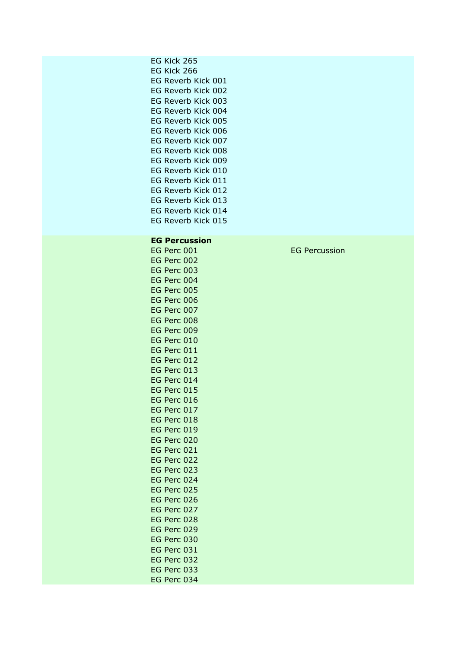| EG Kick 265<br>EG Kick 266<br>EG Reverb Kick 001<br>EG Reverb Kick 002<br>EG Reverb Kick 003<br>EG Reverb Kick 004<br>EG Reverb Kick 005<br>EG Reverb Kick 006<br>EG Reverb Kick 007                                                                                                                                                                                                                                                                                                                                                               |  |               |
|----------------------------------------------------------------------------------------------------------------------------------------------------------------------------------------------------------------------------------------------------------------------------------------------------------------------------------------------------------------------------------------------------------------------------------------------------------------------------------------------------------------------------------------------------|--|---------------|
| EG Reverb Kick 008<br>EG Reverb Kick 009<br>EG Reverb Kick 010<br>EG Reverb Kick 011<br>EG Reverb Kick 012<br>EG Reverb Kick 013<br>EG Reverb Kick 014<br>EG Reverb Kick 015                                                                                                                                                                                                                                                                                                                                                                       |  |               |
| <b>EG Percussion</b><br>EG Perc 001<br>EG Perc 002<br>EG Perc 003<br>EG Perc 004<br>EG Perc 005<br>EG Perc 006<br>EG Perc 007<br>EG Perc 008<br>EG Perc 009<br>EG Perc 010<br>EG Perc 011<br>EG Perc 012<br>EG Perc 013<br>EG Perc 014<br>EG Perc 015<br>EG Perc 016<br>EG Perc 017<br>EG Perc 018<br>EG Perc 019<br>EG Perc 020<br>EG Perc 021<br>EG Perc 022<br>EG Perc 023<br>EG Perc 024<br>EG Perc 025<br>EG Perc 026<br>EG Perc 027<br>EG Perc 028<br>EG Perc 029<br>EG Perc 030<br>EG Perc 031<br>EG Perc 032<br>EG Perc 033<br>EG Perc 034 |  | <b>EG Per</b> |

rcussion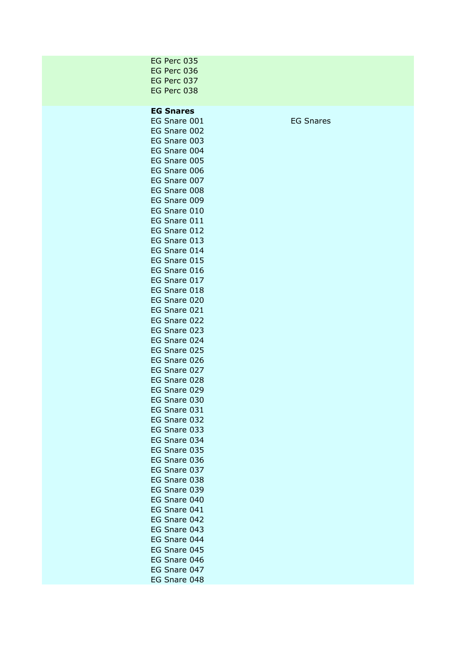| EG Perc 035<br>EG Perc 036<br>EG Perc 037<br>EG Perc 038                                                                                                                                                                                                                                                                                                                                                                                                                                                                                                                                                         |                  |
|------------------------------------------------------------------------------------------------------------------------------------------------------------------------------------------------------------------------------------------------------------------------------------------------------------------------------------------------------------------------------------------------------------------------------------------------------------------------------------------------------------------------------------------------------------------------------------------------------------------|------------------|
| <b>EG Snares</b><br>EG Snare 001<br>EG Snare 002<br>EG Snare 003<br>EG Snare 004<br>EG Snare 005<br>EG Snare 006<br>EG Snare 007<br>EG Snare 008<br>EG Snare 009<br>EG Snare 010<br>EG Snare 011<br>EG Snare 012<br>EG Snare 013<br>EG Snare 014<br>EG Snare 015<br>EG Snare 016<br>EG Snare 017<br>EG Snare 018<br>EG Snare 020<br>EG Snare 021<br>EG Snare 022<br>EG Snare 023<br>EG Snare 024<br>EG Snare 025<br>EG Snare 026<br>EG Snare 027<br>EG Snare 028<br>EG Snare 029<br>EG Snare 030<br>EG Snare 031<br>EG Snare 032<br>EG Snare 033<br>EG Snare 034<br>EG Snare 035<br>EG Snare 036<br>EG Snare 037 | <b>EG Snares</b> |
| EG Snare 038<br>EG Snare 039<br>EG Snare 040<br>EG Snare 041                                                                                                                                                                                                                                                                                                                                                                                                                                                                                                                                                     |                  |
| EG Snare 042<br>EG Snare 043<br>EG Snare 044<br>EG Snare 045                                                                                                                                                                                                                                                                                                                                                                                                                                                                                                                                                     |                  |
| EG Snare 046<br>EG Snare 047<br>EG Snare 048                                                                                                                                                                                                                                                                                                                                                                                                                                                                                                                                                                     |                  |